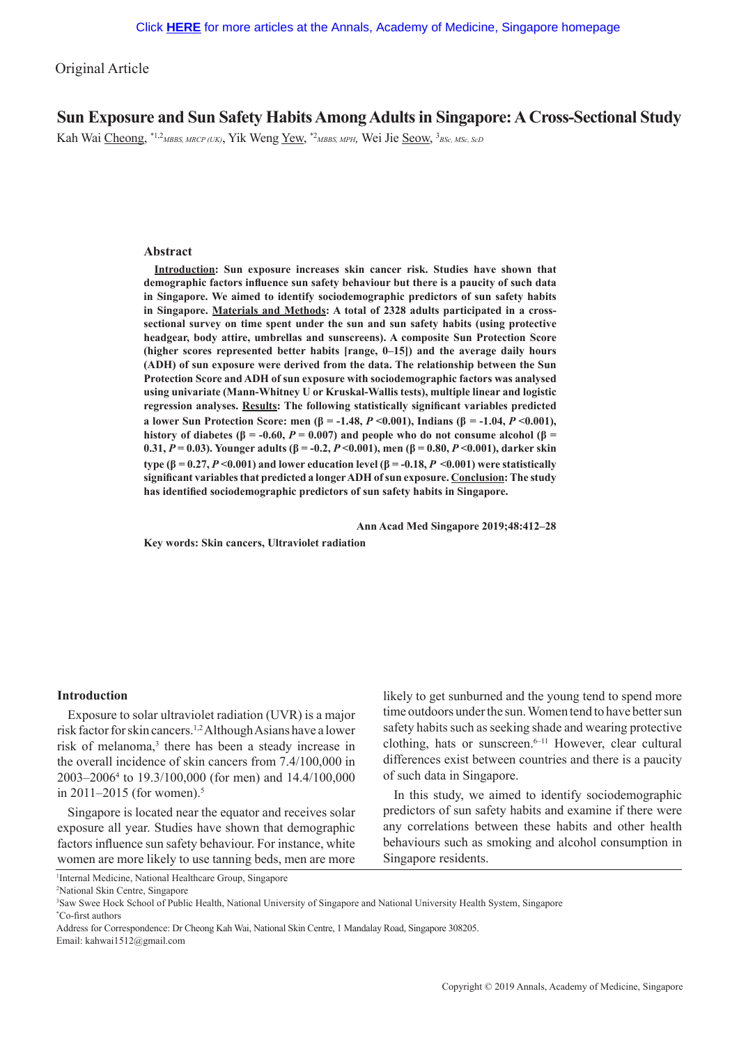Original Article

**Sun Exposure and Sun Safety Habits Among Adults in Singapore: A Cross-Sectional Study**

Kah Wai Cheong, \*1,2*MBBS, MRCP (UK)*, Yik Weng Yew, \*2*MBBS, MPH,* Wei Jie Seow, 3 *BSc, MSc, ScD* 

### **Abstract**

**Introduction: Sun exposure increases skin cancer risk. Studies have shown that demographic factors influence sun safety behaviour but there is a paucity of such data in Singapore. We aimed to identify sociodemographic predictors of sun safety habits in Singapore. Materials and Methods: A total of 2328 adults participated in a crosssectional survey on time spent under the sun and sun safety habits (using protective headgear, body attire, umbrellas and sunscreens). A composite Sun Protection Score (higher scores represented better habits [range, 0–15]) and the average daily hours (ADH) of sun exposure were derived from the data. The relationship between the Sun Protection Score and ADH of sun exposure with sociodemographic factors was analysed using univariate (Mann-Whitney U or Kruskal-Wallis tests), multiple linear and logistic regression analyses. Results: The following statistically significant variables predicted a** lower Sun Protection Score: men  $(\beta = -1.48, P \le 0.001)$ , Indians  $(\beta = -1.04, P \le 0.001)$ , **history of diabetes (** $\beta = -0.60$ ,  $P = 0.007$ ) and people who do not consume alcohol ( $\beta =$ **0.31,** *P* **= 0.03). Younger adults (β = -0.2,** *P* **<0.001), men (β = 0.80,** *P* **<0.001), darker skin type (β = 0.27,** *P* **<0.001) and lower education level (β = -0.18,** *P* **<0.001) were statistically significant variables that predicted a longer ADH of sun exposure. Conclusion: The study has identified sociodemographic predictors of sun safety habits in Singapore.**

 **Ann Acad Med Singapore 2019;48:412–28**

**Key words: Skin cancers, Ultraviolet radiation**

#### **Introduction**

Exposure to solar ultraviolet radiation (UVR) is a major risk factor for skin cancers.1,2 Although Asians have a lower risk of melanoma,<sup>3</sup> there has been a steady increase in the overall incidence of skin cancers from 7.4/100,000 in 2003‒2006<sup>4</sup> to 19.3/100,000 (for men) and 14.4/100,000 in 2011–2015 (for women).<sup>5</sup>

Singapore is located near the equator and receives solar exposure all year. Studies have shown that demographic factors influence sun safety behaviour. For instance, white women are more likely to use tanning beds, men are more

likely to get sunburned and the young tend to spend more time outdoors under the sun. Women tend to have better sun safety habits such as seeking shade and wearing protective clothing, hats or sunscreen.<sup>6-11</sup> However, clear cultural differences exist between countries and there is a paucity of such data in Singapore.

In this study, we aimed to identify sociodemographic predictors of sun safety habits and examine if there were any correlations between these habits and other health behaviours such as smoking and alcohol consumption in Singapore residents.

Address for Correspondence: Dr Cheong Kah Wai, National Skin Centre, 1 Mandalay Road, Singapore 308205. Email: kahwai1512@gmail.com

<sup>1</sup> Internal Medicine, National Healthcare Group, Singapore

<sup>2</sup> National Skin Centre, Singapore

<sup>3</sup> Saw Swee Hock School of Public Health, National University of Singapore and National University Health System, Singapore \* Co-first authors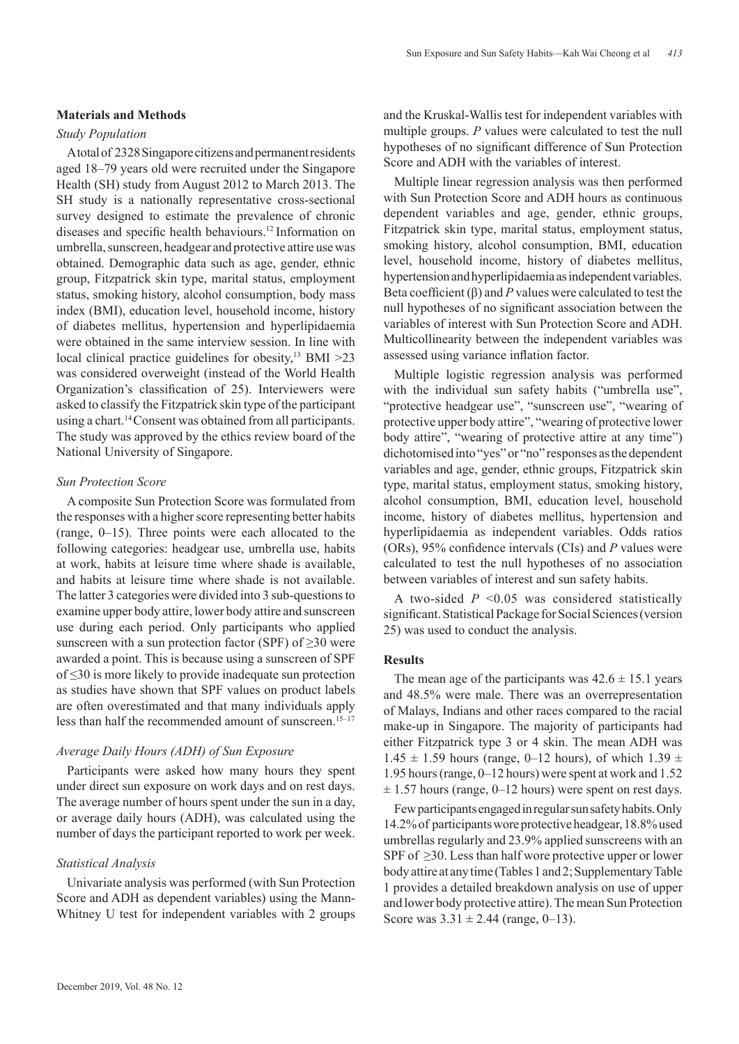# **Materials and Methods**

# *Study Population*

A total of 2328 Singapore citizens and permanent residents aged 18‒79 years old were recruited under the Singapore Health (SH) study from August 2012 to March 2013. The SH study is a nationally representative cross-sectional survey designed to estimate the prevalence of chronic diseases and specific health behaviours.12 Information on umbrella, sunscreen, headgear and protective attire use was obtained. Demographic data such as age, gender, ethnic group, Fitzpatrick skin type, marital status, employment status, smoking history, alcohol consumption, body mass index (BMI), education level, household income, history of diabetes mellitus, hypertension and hyperlipidaemia were obtained in the same interview session. In line with local clinical practice guidelines for obesity, $13 \text{ BMI} > 23$ was considered overweight (instead of the World Health Organization's classification of 25). Interviewers were asked to classify the Fitzpatrick skin type of the participant using a chart.14 Consent was obtained from all participants. The study was approved by the ethics review board of the National University of Singapore.

## *Sun Protection Score*

A composite Sun Protection Score was formulated from the responses with a higher score representing better habits (range, 0–15). Three points were each allocated to the following categories: headgear use, umbrella use, habits at work, habits at leisure time where shade is available, and habits at leisure time where shade is not available. The latter 3 categories were divided into 3 sub-questions to examine upper body attire, lower body attire and sunscreen use during each period. Only participants who applied sunscreen with a sun protection factor (SPF) of  $\geq$ 30 were awarded a point. This is because using a sunscreen of SPF of ≤30 is more likely to provide inadequate sun protection as studies have shown that SPF values on product labels are often overestimated and that many individuals apply less than half the recommended amount of sunscreen.<sup>15-17</sup>

## *Average Daily Hours (ADH) of Sun Exposure*

Participants were asked how many hours they spent under direct sun exposure on work days and on rest days. The average number of hours spent under the sun in a day, or average daily hours (ADH), was calculated using the number of days the participant reported to work per week.

#### *Statistical Analysis*

Univariate analysis was performed (with Sun Protection Score and ADH as dependent variables) using the Mann-Whitney U test for independent variables with 2 groups

Multiple linear regression analysis was then performed with Sun Protection Score and ADH hours as continuous dependent variables and age, gender, ethnic groups, Fitzpatrick skin type, marital status, employment status, smoking history, alcohol consumption, BMI, education level, household income, history of diabetes mellitus, hypertension and hyperlipidaemia as independent variables. Beta coefficient (β) and *P* values were calculated to test the null hypotheses of no significant association between the variables of interest with Sun Protection Score and ADH. Multicollinearity between the independent variables was assessed using variance inflation factor.

Multiple logistic regression analysis was performed with the individual sun safety habits ("umbrella use", "protective headgear use", "sunscreen use", "wearing of protective upper body attire", "wearing of protective lower body attire", "wearing of protective attire at any time") dichotomised into "yes" or "no" responses as the dependent variables and age, gender, ethnic groups, Fitzpatrick skin type, marital status, employment status, smoking history, alcohol consumption, BMI, education level, household income, history of diabetes mellitus, hypertension and hyperlipidaemia as independent variables. Odds ratios (ORs), 95% confidence intervals (CIs) and *P* values were calculated to test the null hypotheses of no association between variables of interest and sun safety habits.

A two-sided *P* <0.05 was considered statistically significant. Statistical Package for Social Sciences (version 25) was used to conduct the analysis.

#### **Results**

The mean age of the participants was  $42.6 \pm 15.1$  years and 48.5% were male. There was an overrepresentation of Malays, Indians and other races compared to the racial make-up in Singapore. The majority of participants had either Fitzpatrick type 3 or 4 skin. The mean ADH was  $1.45 \pm 1.59$  hours (range, 0–12 hours), of which  $1.39 \pm 1.59$ 1.95 hours (range, 0–12 hours) were spent at work and 1.52  $\pm$  1.57 hours (range, 0–12 hours) were spent on rest days.

Few participants engaged in regular sun safety habits. Only 14.2% of participants wore protective headgear, 18.8% used umbrellas regularly and 23.9% applied sunscreens with an SPF of  $\geq$ 30. Less than half wore protective upper or lower body attire at any time (Tables 1 and 2; Supplementary Table 1 provides a detailed breakdown analysis on use of upper and lower body protective attire). The mean Sun Protection Score was  $3.31 \pm 2.44$  (range, 0–13).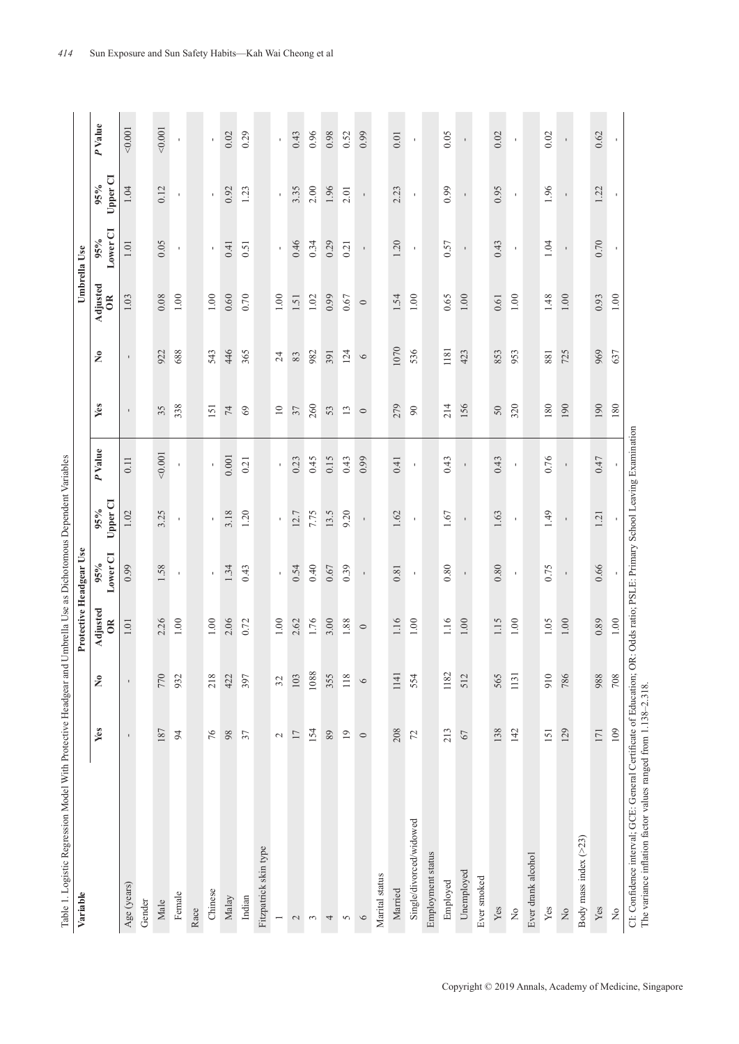| ׇׇ֦֘֡           |
|-----------------|
|                 |
| ļ<br>I          |
| ļ               |
| j               |
| í               |
| l               |
| )<br>Ì<br>l     |
|                 |
|                 |
|                 |
| l<br>I<br>ׇ֚֘֝֕ |
| ļ<br>١          |
| Table           |
|                 |

| P Value<br>0.001<br>0.001<br>0.43<br>0.96<br>0.98<br>0.05<br>0.62<br>0.02<br>0.29<br>0.52<br>0.99<br>0.02<br>0.02<br>$0.01$<br>$\mathbf{I}$<br>$\mathbf I$<br>$\mathbf I$<br>$\blacksquare$<br>$\blacksquare$<br>$\mathbf I$<br>$\mathbf I$<br>$\mathbf{I}$<br>Upper CI<br>95%<br>0.12<br>3.35<br>2.00<br>1.96<br>1.96<br>1.04<br>1.23<br>2.01<br>0.95<br>0.92<br>2.23<br>0.99<br>1.22<br>$\mathbf{r}$<br>$\mathbf{I}$<br>$\mathbf{r}$<br>$\mathbf{I}$<br>$\mathbf I$<br>$\blacksquare$<br>$\mathbf{I}$<br>$\mathbf{I}$<br>$\blacksquare$<br>Lower <sub>CI</sub><br>95%<br>0.46<br>1.20<br>0.05<br>0.34<br>1.04<br>0.70<br>0.29<br>0.57<br>0.43<br>0.51<br>0.21<br>$1.01\,$<br>0.41<br>$\mathbf{r}$<br>$\mathbf{r}$<br>$\mathbf{I}$<br>$\blacksquare$<br>$\mathbf{I}$<br>$\mathbf{I}$<br>$\mathbf{I}$<br>$\mathbf{I}$<br>Adjusted<br>$0.08\,$<br>$1.00\,$<br>0.60<br>0.70<br>0.65<br>$1.00\,$<br>1.48<br>$1.03$<br>$1.00\,$<br>$1.00\,$<br>1.02<br>0.99<br>1.54<br>$1.00\,$<br>1.00<br>$1.00\,$<br>0.93<br>$1.00\,$<br>0.67<br>$\approx$<br>1.51<br>0.61<br>$\circ$<br>1070<br>446<br>536<br>1181<br>969<br>688<br>543<br>365<br>124<br>423<br>853<br>953<br>725<br>922<br>637<br>982<br>391<br>881<br>$\mathsf{S}^{\mathsf{o}}$<br>83<br>24<br>$\circ$<br>$\blacksquare$<br>338<br>214<br>156<br>180<br>190<br>180<br>Yes<br>260<br>279<br>320<br>190<br>151<br>35<br>$\overline{10}$<br>37<br>$90\,$<br>50<br>74<br>69<br>53<br>13<br>$\circ$<br>$\blacksquare$<br>P Value<br>< 0.001<br>0.001<br>0.76<br>0.45<br>0.15<br>0.47<br>0.11<br>0.23<br>0.43<br>0.99<br>0.43<br>0.43<br>0.41<br>0.21<br>$\blacksquare$<br>$\mathbf{I}$<br>$\mathbf I$<br>$\blacksquare$<br>$\mathbf{I}$<br>$\blacksquare$<br>$\mathbf I$<br>$\mathbf I$<br>Upper CI<br>95%<br>3.25<br>3.18<br>7.75<br>13.5<br>9.20<br>1.02<br>1.20<br>12.7<br>1.62<br>1.49<br>1.67<br>1.63<br>1.21<br>$\blacksquare$<br>$\mathbf{I}$<br>$\mathbf{I}$<br>$\mathbf{I}$<br>$\mathbf I$<br>$\blacksquare$<br>$\mathbf{I}$<br>$\mathbf{I}$<br>$\mathbf I$<br>Lower <sub>CI</sub><br>95%<br>0.66<br>1.58<br>0.54<br>0.40<br>0.39<br>0.80<br>0.80<br>0.75<br>0.99<br>1.34<br>0.43<br>0.67<br>$0.81\,$<br>$\mathbf{I}$<br>$\mathbf{I}$<br>$\mathbf{I}$<br>$\mathbf{I}$<br>$\mathbf{I}$<br>$\mathbf{I}$<br>$\mathbf{I}$<br>$\blacksquare$<br>Adjusted<br>2.26<br>$1.00\,$<br>$1.00\,$<br>2.06<br>1.76<br>1.88<br>1.16<br>1.16<br>$1.00\,$<br>1.15<br>1.05<br>0.89<br>0.72<br>$1.00\,$<br>2.62<br>3.00<br>$1.00\,$<br>$1.00\,$<br>$1.00\,$<br>$1.00\,$<br>$\alpha$<br>$1.01\,$<br>$\circ$<br>1088<br>1182<br>1131<br>910<br>770<br>1141<br>786<br>988<br>708<br>932<br>218<br>103<br>355<br>118<br>554<br>512<br>565<br>$\mathsf{S}^{\mathsf{o}}$<br>422<br>397<br>32<br>$\circ$<br>$\blacksquare$<br>Yes<br>208<br>213<br>138<br>142<br>129<br>109<br>187<br>154<br>151<br>171<br>76<br>$98\,$<br>94<br>37<br>$\overline{17}$<br>89<br>19<br>$72$<br>67<br>$\sim$<br>$\circ$<br>$\mathbf{I}$<br>Single/divorced/widowed<br>Body mass index $(>23)$<br>Fitzpatrick skin type<br>Employment status<br>Ever drank alcohol<br>Unemployed<br>Marital status<br>Ever smoked<br>Employed<br>Age (years)<br>Chinese<br>Married<br>Female<br>Malay<br>Indian<br>Gender<br>$\rm {Male}$<br>Yes<br>Yes<br>Yes<br>Race<br>$\stackrel{\circ}{\mathbf{Z}}$<br>$\stackrel{\mathtt{o}}{\mathsf{z}}$<br>$\stackrel{\circ}{\mathbf{Z}}$<br>$\circ$<br>$\mathcal{L}$<br>$\sim$<br>4<br>$\sim$ | Table 1. Logistic Regression Model With Protective Headgear and Umbrella Use as Dichotomous Dependent Variables<br>Variable |  | Protective Headgear Use |  |  | Umbrella Use |  |
|-------------------------------------------------------------------------------------------------------------------------------------------------------------------------------------------------------------------------------------------------------------------------------------------------------------------------------------------------------------------------------------------------------------------------------------------------------------------------------------------------------------------------------------------------------------------------------------------------------------------------------------------------------------------------------------------------------------------------------------------------------------------------------------------------------------------------------------------------------------------------------------------------------------------------------------------------------------------------------------------------------------------------------------------------------------------------------------------------------------------------------------------------------------------------------------------------------------------------------------------------------------------------------------------------------------------------------------------------------------------------------------------------------------------------------------------------------------------------------------------------------------------------------------------------------------------------------------------------------------------------------------------------------------------------------------------------------------------------------------------------------------------------------------------------------------------------------------------------------------------------------------------------------------------------------------------------------------------------------------------------------------------------------------------------------------------------------------------------------------------------------------------------------------------------------------------------------------------------------------------------------------------------------------------------------------------------------------------------------------------------------------------------------------------------------------------------------------------------------------------------------------------------------------------------------------------------------------------------------------------------------------------------------------------------------------------------------------------------------------------------------------------------------------------------------------------------------------------------------------------------------------------------------------------------------------------------------------------------------------------------------------------------------------------------------------------------------------------------------------------------------------------------------------------------------------------------------------------------------------------------------------------------------------------------------------------------------------------------------------------------------------------------------------------------------|-----------------------------------------------------------------------------------------------------------------------------|--|-------------------------|--|--|--------------|--|
|                                                                                                                                                                                                                                                                                                                                                                                                                                                                                                                                                                                                                                                                                                                                                                                                                                                                                                                                                                                                                                                                                                                                                                                                                                                                                                                                                                                                                                                                                                                                                                                                                                                                                                                                                                                                                                                                                                                                                                                                                                                                                                                                                                                                                                                                                                                                                                                                                                                                                                                                                                                                                                                                                                                                                                                                                                                                                                                                                                                                                                                                                                                                                                                                                                                                                                                                                                                                                               |                                                                                                                             |  |                         |  |  |              |  |
|                                                                                                                                                                                                                                                                                                                                                                                                                                                                                                                                                                                                                                                                                                                                                                                                                                                                                                                                                                                                                                                                                                                                                                                                                                                                                                                                                                                                                                                                                                                                                                                                                                                                                                                                                                                                                                                                                                                                                                                                                                                                                                                                                                                                                                                                                                                                                                                                                                                                                                                                                                                                                                                                                                                                                                                                                                                                                                                                                                                                                                                                                                                                                                                                                                                                                                                                                                                                                               |                                                                                                                             |  |                         |  |  |              |  |
|                                                                                                                                                                                                                                                                                                                                                                                                                                                                                                                                                                                                                                                                                                                                                                                                                                                                                                                                                                                                                                                                                                                                                                                                                                                                                                                                                                                                                                                                                                                                                                                                                                                                                                                                                                                                                                                                                                                                                                                                                                                                                                                                                                                                                                                                                                                                                                                                                                                                                                                                                                                                                                                                                                                                                                                                                                                                                                                                                                                                                                                                                                                                                                                                                                                                                                                                                                                                                               |                                                                                                                             |  |                         |  |  |              |  |
|                                                                                                                                                                                                                                                                                                                                                                                                                                                                                                                                                                                                                                                                                                                                                                                                                                                                                                                                                                                                                                                                                                                                                                                                                                                                                                                                                                                                                                                                                                                                                                                                                                                                                                                                                                                                                                                                                                                                                                                                                                                                                                                                                                                                                                                                                                                                                                                                                                                                                                                                                                                                                                                                                                                                                                                                                                                                                                                                                                                                                                                                                                                                                                                                                                                                                                                                                                                                                               |                                                                                                                             |  |                         |  |  |              |  |
|                                                                                                                                                                                                                                                                                                                                                                                                                                                                                                                                                                                                                                                                                                                                                                                                                                                                                                                                                                                                                                                                                                                                                                                                                                                                                                                                                                                                                                                                                                                                                                                                                                                                                                                                                                                                                                                                                                                                                                                                                                                                                                                                                                                                                                                                                                                                                                                                                                                                                                                                                                                                                                                                                                                                                                                                                                                                                                                                                                                                                                                                                                                                                                                                                                                                                                                                                                                                                               |                                                                                                                             |  |                         |  |  |              |  |
|                                                                                                                                                                                                                                                                                                                                                                                                                                                                                                                                                                                                                                                                                                                                                                                                                                                                                                                                                                                                                                                                                                                                                                                                                                                                                                                                                                                                                                                                                                                                                                                                                                                                                                                                                                                                                                                                                                                                                                                                                                                                                                                                                                                                                                                                                                                                                                                                                                                                                                                                                                                                                                                                                                                                                                                                                                                                                                                                                                                                                                                                                                                                                                                                                                                                                                                                                                                                                               |                                                                                                                             |  |                         |  |  |              |  |
|                                                                                                                                                                                                                                                                                                                                                                                                                                                                                                                                                                                                                                                                                                                                                                                                                                                                                                                                                                                                                                                                                                                                                                                                                                                                                                                                                                                                                                                                                                                                                                                                                                                                                                                                                                                                                                                                                                                                                                                                                                                                                                                                                                                                                                                                                                                                                                                                                                                                                                                                                                                                                                                                                                                                                                                                                                                                                                                                                                                                                                                                                                                                                                                                                                                                                                                                                                                                                               |                                                                                                                             |  |                         |  |  |              |  |
|                                                                                                                                                                                                                                                                                                                                                                                                                                                                                                                                                                                                                                                                                                                                                                                                                                                                                                                                                                                                                                                                                                                                                                                                                                                                                                                                                                                                                                                                                                                                                                                                                                                                                                                                                                                                                                                                                                                                                                                                                                                                                                                                                                                                                                                                                                                                                                                                                                                                                                                                                                                                                                                                                                                                                                                                                                                                                                                                                                                                                                                                                                                                                                                                                                                                                                                                                                                                                               |                                                                                                                             |  |                         |  |  |              |  |
|                                                                                                                                                                                                                                                                                                                                                                                                                                                                                                                                                                                                                                                                                                                                                                                                                                                                                                                                                                                                                                                                                                                                                                                                                                                                                                                                                                                                                                                                                                                                                                                                                                                                                                                                                                                                                                                                                                                                                                                                                                                                                                                                                                                                                                                                                                                                                                                                                                                                                                                                                                                                                                                                                                                                                                                                                                                                                                                                                                                                                                                                                                                                                                                                                                                                                                                                                                                                                               |                                                                                                                             |  |                         |  |  |              |  |
|                                                                                                                                                                                                                                                                                                                                                                                                                                                                                                                                                                                                                                                                                                                                                                                                                                                                                                                                                                                                                                                                                                                                                                                                                                                                                                                                                                                                                                                                                                                                                                                                                                                                                                                                                                                                                                                                                                                                                                                                                                                                                                                                                                                                                                                                                                                                                                                                                                                                                                                                                                                                                                                                                                                                                                                                                                                                                                                                                                                                                                                                                                                                                                                                                                                                                                                                                                                                                               |                                                                                                                             |  |                         |  |  |              |  |
|                                                                                                                                                                                                                                                                                                                                                                                                                                                                                                                                                                                                                                                                                                                                                                                                                                                                                                                                                                                                                                                                                                                                                                                                                                                                                                                                                                                                                                                                                                                                                                                                                                                                                                                                                                                                                                                                                                                                                                                                                                                                                                                                                                                                                                                                                                                                                                                                                                                                                                                                                                                                                                                                                                                                                                                                                                                                                                                                                                                                                                                                                                                                                                                                                                                                                                                                                                                                                               |                                                                                                                             |  |                         |  |  |              |  |
|                                                                                                                                                                                                                                                                                                                                                                                                                                                                                                                                                                                                                                                                                                                                                                                                                                                                                                                                                                                                                                                                                                                                                                                                                                                                                                                                                                                                                                                                                                                                                                                                                                                                                                                                                                                                                                                                                                                                                                                                                                                                                                                                                                                                                                                                                                                                                                                                                                                                                                                                                                                                                                                                                                                                                                                                                                                                                                                                                                                                                                                                                                                                                                                                                                                                                                                                                                                                                               |                                                                                                                             |  |                         |  |  |              |  |
|                                                                                                                                                                                                                                                                                                                                                                                                                                                                                                                                                                                                                                                                                                                                                                                                                                                                                                                                                                                                                                                                                                                                                                                                                                                                                                                                                                                                                                                                                                                                                                                                                                                                                                                                                                                                                                                                                                                                                                                                                                                                                                                                                                                                                                                                                                                                                                                                                                                                                                                                                                                                                                                                                                                                                                                                                                                                                                                                                                                                                                                                                                                                                                                                                                                                                                                                                                                                                               |                                                                                                                             |  |                         |  |  |              |  |
|                                                                                                                                                                                                                                                                                                                                                                                                                                                                                                                                                                                                                                                                                                                                                                                                                                                                                                                                                                                                                                                                                                                                                                                                                                                                                                                                                                                                                                                                                                                                                                                                                                                                                                                                                                                                                                                                                                                                                                                                                                                                                                                                                                                                                                                                                                                                                                                                                                                                                                                                                                                                                                                                                                                                                                                                                                                                                                                                                                                                                                                                                                                                                                                                                                                                                                                                                                                                                               |                                                                                                                             |  |                         |  |  |              |  |
|                                                                                                                                                                                                                                                                                                                                                                                                                                                                                                                                                                                                                                                                                                                                                                                                                                                                                                                                                                                                                                                                                                                                                                                                                                                                                                                                                                                                                                                                                                                                                                                                                                                                                                                                                                                                                                                                                                                                                                                                                                                                                                                                                                                                                                                                                                                                                                                                                                                                                                                                                                                                                                                                                                                                                                                                                                                                                                                                                                                                                                                                                                                                                                                                                                                                                                                                                                                                                               |                                                                                                                             |  |                         |  |  |              |  |
|                                                                                                                                                                                                                                                                                                                                                                                                                                                                                                                                                                                                                                                                                                                                                                                                                                                                                                                                                                                                                                                                                                                                                                                                                                                                                                                                                                                                                                                                                                                                                                                                                                                                                                                                                                                                                                                                                                                                                                                                                                                                                                                                                                                                                                                                                                                                                                                                                                                                                                                                                                                                                                                                                                                                                                                                                                                                                                                                                                                                                                                                                                                                                                                                                                                                                                                                                                                                                               |                                                                                                                             |  |                         |  |  |              |  |
|                                                                                                                                                                                                                                                                                                                                                                                                                                                                                                                                                                                                                                                                                                                                                                                                                                                                                                                                                                                                                                                                                                                                                                                                                                                                                                                                                                                                                                                                                                                                                                                                                                                                                                                                                                                                                                                                                                                                                                                                                                                                                                                                                                                                                                                                                                                                                                                                                                                                                                                                                                                                                                                                                                                                                                                                                                                                                                                                                                                                                                                                                                                                                                                                                                                                                                                                                                                                                               |                                                                                                                             |  |                         |  |  |              |  |
|                                                                                                                                                                                                                                                                                                                                                                                                                                                                                                                                                                                                                                                                                                                                                                                                                                                                                                                                                                                                                                                                                                                                                                                                                                                                                                                                                                                                                                                                                                                                                                                                                                                                                                                                                                                                                                                                                                                                                                                                                                                                                                                                                                                                                                                                                                                                                                                                                                                                                                                                                                                                                                                                                                                                                                                                                                                                                                                                                                                                                                                                                                                                                                                                                                                                                                                                                                                                                               |                                                                                                                             |  |                         |  |  |              |  |
|                                                                                                                                                                                                                                                                                                                                                                                                                                                                                                                                                                                                                                                                                                                                                                                                                                                                                                                                                                                                                                                                                                                                                                                                                                                                                                                                                                                                                                                                                                                                                                                                                                                                                                                                                                                                                                                                                                                                                                                                                                                                                                                                                                                                                                                                                                                                                                                                                                                                                                                                                                                                                                                                                                                                                                                                                                                                                                                                                                                                                                                                                                                                                                                                                                                                                                                                                                                                                               |                                                                                                                             |  |                         |  |  |              |  |
|                                                                                                                                                                                                                                                                                                                                                                                                                                                                                                                                                                                                                                                                                                                                                                                                                                                                                                                                                                                                                                                                                                                                                                                                                                                                                                                                                                                                                                                                                                                                                                                                                                                                                                                                                                                                                                                                                                                                                                                                                                                                                                                                                                                                                                                                                                                                                                                                                                                                                                                                                                                                                                                                                                                                                                                                                                                                                                                                                                                                                                                                                                                                                                                                                                                                                                                                                                                                                               |                                                                                                                             |  |                         |  |  |              |  |
|                                                                                                                                                                                                                                                                                                                                                                                                                                                                                                                                                                                                                                                                                                                                                                                                                                                                                                                                                                                                                                                                                                                                                                                                                                                                                                                                                                                                                                                                                                                                                                                                                                                                                                                                                                                                                                                                                                                                                                                                                                                                                                                                                                                                                                                                                                                                                                                                                                                                                                                                                                                                                                                                                                                                                                                                                                                                                                                                                                                                                                                                                                                                                                                                                                                                                                                                                                                                                               |                                                                                                                             |  |                         |  |  |              |  |
|                                                                                                                                                                                                                                                                                                                                                                                                                                                                                                                                                                                                                                                                                                                                                                                                                                                                                                                                                                                                                                                                                                                                                                                                                                                                                                                                                                                                                                                                                                                                                                                                                                                                                                                                                                                                                                                                                                                                                                                                                                                                                                                                                                                                                                                                                                                                                                                                                                                                                                                                                                                                                                                                                                                                                                                                                                                                                                                                                                                                                                                                                                                                                                                                                                                                                                                                                                                                                               |                                                                                                                             |  |                         |  |  |              |  |
|                                                                                                                                                                                                                                                                                                                                                                                                                                                                                                                                                                                                                                                                                                                                                                                                                                                                                                                                                                                                                                                                                                                                                                                                                                                                                                                                                                                                                                                                                                                                                                                                                                                                                                                                                                                                                                                                                                                                                                                                                                                                                                                                                                                                                                                                                                                                                                                                                                                                                                                                                                                                                                                                                                                                                                                                                                                                                                                                                                                                                                                                                                                                                                                                                                                                                                                                                                                                                               |                                                                                                                             |  |                         |  |  |              |  |
|                                                                                                                                                                                                                                                                                                                                                                                                                                                                                                                                                                                                                                                                                                                                                                                                                                                                                                                                                                                                                                                                                                                                                                                                                                                                                                                                                                                                                                                                                                                                                                                                                                                                                                                                                                                                                                                                                                                                                                                                                                                                                                                                                                                                                                                                                                                                                                                                                                                                                                                                                                                                                                                                                                                                                                                                                                                                                                                                                                                                                                                                                                                                                                                                                                                                                                                                                                                                                               |                                                                                                                             |  |                         |  |  |              |  |
|                                                                                                                                                                                                                                                                                                                                                                                                                                                                                                                                                                                                                                                                                                                                                                                                                                                                                                                                                                                                                                                                                                                                                                                                                                                                                                                                                                                                                                                                                                                                                                                                                                                                                                                                                                                                                                                                                                                                                                                                                                                                                                                                                                                                                                                                                                                                                                                                                                                                                                                                                                                                                                                                                                                                                                                                                                                                                                                                                                                                                                                                                                                                                                                                                                                                                                                                                                                                                               |                                                                                                                             |  |                         |  |  |              |  |
|                                                                                                                                                                                                                                                                                                                                                                                                                                                                                                                                                                                                                                                                                                                                                                                                                                                                                                                                                                                                                                                                                                                                                                                                                                                                                                                                                                                                                                                                                                                                                                                                                                                                                                                                                                                                                                                                                                                                                                                                                                                                                                                                                                                                                                                                                                                                                                                                                                                                                                                                                                                                                                                                                                                                                                                                                                                                                                                                                                                                                                                                                                                                                                                                                                                                                                                                                                                                                               |                                                                                                                             |  |                         |  |  |              |  |
|                                                                                                                                                                                                                                                                                                                                                                                                                                                                                                                                                                                                                                                                                                                                                                                                                                                                                                                                                                                                                                                                                                                                                                                                                                                                                                                                                                                                                                                                                                                                                                                                                                                                                                                                                                                                                                                                                                                                                                                                                                                                                                                                                                                                                                                                                                                                                                                                                                                                                                                                                                                                                                                                                                                                                                                                                                                                                                                                                                                                                                                                                                                                                                                                                                                                                                                                                                                                                               |                                                                                                                             |  |                         |  |  |              |  |
|                                                                                                                                                                                                                                                                                                                                                                                                                                                                                                                                                                                                                                                                                                                                                                                                                                                                                                                                                                                                                                                                                                                                                                                                                                                                                                                                                                                                                                                                                                                                                                                                                                                                                                                                                                                                                                                                                                                                                                                                                                                                                                                                                                                                                                                                                                                                                                                                                                                                                                                                                                                                                                                                                                                                                                                                                                                                                                                                                                                                                                                                                                                                                                                                                                                                                                                                                                                                                               |                                                                                                                             |  |                         |  |  |              |  |
|                                                                                                                                                                                                                                                                                                                                                                                                                                                                                                                                                                                                                                                                                                                                                                                                                                                                                                                                                                                                                                                                                                                                                                                                                                                                                                                                                                                                                                                                                                                                                                                                                                                                                                                                                                                                                                                                                                                                                                                                                                                                                                                                                                                                                                                                                                                                                                                                                                                                                                                                                                                                                                                                                                                                                                                                                                                                                                                                                                                                                                                                                                                                                                                                                                                                                                                                                                                                                               |                                                                                                                             |  |                         |  |  |              |  |
|                                                                                                                                                                                                                                                                                                                                                                                                                                                                                                                                                                                                                                                                                                                                                                                                                                                                                                                                                                                                                                                                                                                                                                                                                                                                                                                                                                                                                                                                                                                                                                                                                                                                                                                                                                                                                                                                                                                                                                                                                                                                                                                                                                                                                                                                                                                                                                                                                                                                                                                                                                                                                                                                                                                                                                                                                                                                                                                                                                                                                                                                                                                                                                                                                                                                                                                                                                                                                               |                                                                                                                             |  |                         |  |  |              |  |
|                                                                                                                                                                                                                                                                                                                                                                                                                                                                                                                                                                                                                                                                                                                                                                                                                                                                                                                                                                                                                                                                                                                                                                                                                                                                                                                                                                                                                                                                                                                                                                                                                                                                                                                                                                                                                                                                                                                                                                                                                                                                                                                                                                                                                                                                                                                                                                                                                                                                                                                                                                                                                                                                                                                                                                                                                                                                                                                                                                                                                                                                                                                                                                                                                                                                                                                                                                                                                               |                                                                                                                             |  |                         |  |  |              |  |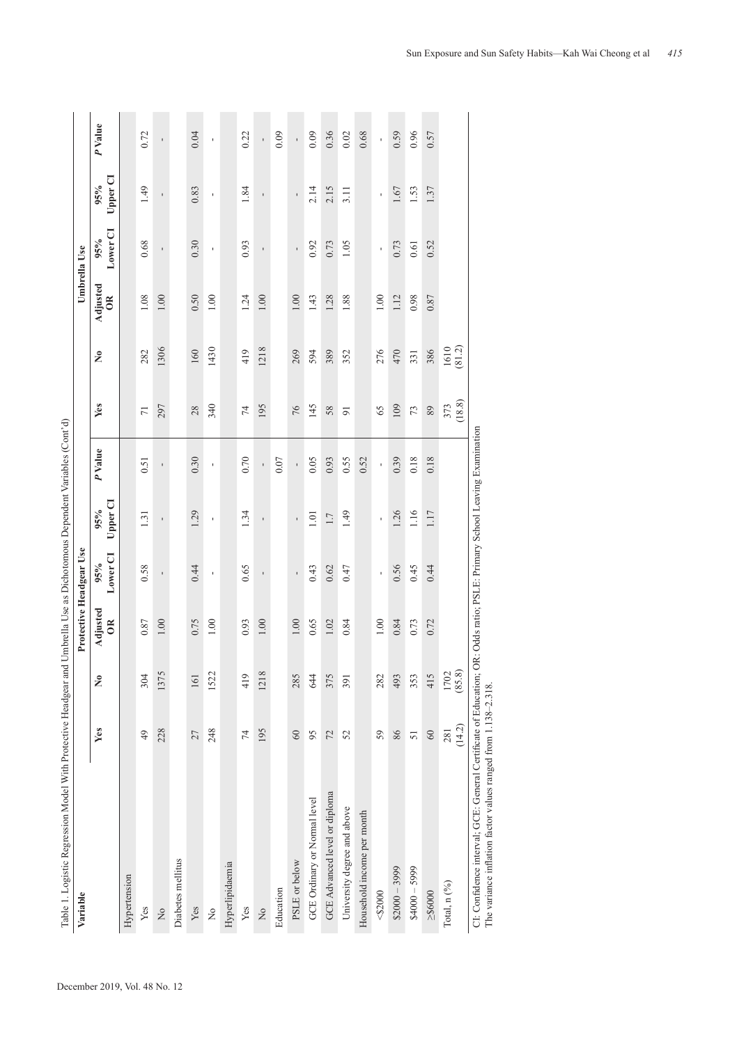| Table 1. Logistic Regression Model With Protective Headgear and Umbrella Use as Dichotomous Dependent Variables (Cont'd)       |                |                      |                           |                 |                    |                |                |                      |                           |                 |                 |              |
|--------------------------------------------------------------------------------------------------------------------------------|----------------|----------------------|---------------------------|-----------------|--------------------|----------------|----------------|----------------------|---------------------------|-----------------|-----------------|--------------|
| Variable                                                                                                                       |                |                      | Protective Headgear Use   |                 |                    |                |                |                      | Umbrella Use              |                 |                 |              |
|                                                                                                                                | Yes            | $\tilde{\mathsf{z}}$ | Adjusted<br>$\frac{1}{2}$ | Lower CI<br>95% | Upper CI<br>$95\%$ | P Value        | Yes            | $\tilde{\mathsf{z}}$ | Adjusted<br>$\frac{R}{C}$ | Lower CI<br>95% | Upper CI<br>95% | P Value      |
| Hypertension                                                                                                                   |                |                      |                           |                 |                    |                |                |                      |                           |                 |                 |              |
| Yes                                                                                                                            | 49             | 304                  | 0.87                      | 0.58            | 1.31               | 0.51           | $\overline{7}$ | 282                  | 1.08                      | 0.68            | 1.49            | 0.72         |
| $\overline{M}$                                                                                                                 | 228            | 1375                 | 1.00                      | $\mathbf{I}$    | $\mathbf{I}$       | $\mathbf{I}$   | 297            | 1306                 | 1.00                      | $\mathbf{I}$    | $\mathbf{I}$    | ı            |
| Diabetes mellitus                                                                                                              |                |                      |                           |                 |                    |                |                |                      |                           |                 |                 |              |
| Yes                                                                                                                            | 27             | 161                  | 0.75                      | 0.44            | 1.29               | 0.30           | 28             | 160                  | 0.50                      | 0.30            | 0.83            | 0.04         |
| $\frac{6}{2}$                                                                                                                  | 248            | 1522                 | 1.00                      | $\mathbf{I}$    | $\mathbf{I}$       | $\mathbf{I}$   | 340            | 1430                 | 1.00                      | ı               | 1               | $\mathbf{I}$ |
| Hyperlipidaemia                                                                                                                |                |                      |                           |                 |                    |                |                |                      |                           |                 |                 |              |
| Yes                                                                                                                            | $\overline{7}$ | 419                  | 0.93                      | 0.65            | 1.34               | 0.70           | $\overline{7}$ | 419                  | 1.24                      | 0.93            | 1.84            | 0.22         |
| $\overline{M}$                                                                                                                 | 195            | 1218                 | 1.00                      | $\mathbf{I}$    | $\mathbf{I}$       | ï              | 195            | 1218                 | 1.00                      | $\mathbf{I}$    | $\mathbf{I}$    | $\mathbf{I}$ |
| Education                                                                                                                      |                |                      |                           |                 |                    | 0.07           |                |                      |                           |                 |                 | 0.09         |
| PSLE or below                                                                                                                  | 60             | 285                  | 1.00                      | $\mathbf{I}$    | $\mathbf{I}$       | Î,             | 76             | 269                  | 1.00                      | $\mathbf{I}$    | $\mathbf{I}$    | f,           |
| GCE Ordinary or Normal level                                                                                                   | 95             | 644                  | 0.65                      | 0.43            | 1.01               | 0.05           | 145            | 594                  | 1.43                      | 0.92            | 2.14            | 0.09         |
| GCE Advanced level or diploma                                                                                                  | 72             | 375                  | 1.02                      | 0.62            | 1.7                | 0.93           | 58             | 389                  | 1.28                      | 0.73            | 2.15            | 0.36         |
| University degree and above                                                                                                    | 52             | 391                  | 0.84                      | 0.47            | 1.49               | 0.55           | $\overline{9}$ | 352                  | 1.88                      | 1.05            | 3.11            | 0.02         |
| Household income per month                                                                                                     |                |                      |                           |                 |                    | 0.52           |                |                      |                           |                 |                 | 0.68         |
| 82000                                                                                                                          | 59             | 282                  | 1.00                      | $\mathbf{I}$    | $\mathbf{I}$       | $\blacksquare$ | 65             | 276                  | 1.00                      | $\mathbf{I}$    | $\mathbf{I}$    | ı            |
| $$2000 - 3999$                                                                                                                 | 86             | 493                  | 0.84                      | 0.56            | 1.26               | 0.39           | 109            | 470                  | 1.12                      | 0.73            | 1.67            | 0.59         |
| $84000 - 5999$                                                                                                                 | 51             | 353                  | 0.73                      | 0.45            | 1.16               | 0.18           | 73             | 331                  | 0.98                      | 0.61            | 1.53            | 0.96         |
| 2\$6000                                                                                                                        | 60             | 415                  | 0.72                      | 0.44            | 1.17               | 0.18           | 89             | 386                  | 0.87                      | 0.52            | 1.37            | 0.57         |
| Total, n (%)                                                                                                                   | (14.2)<br>281  | (85.8)<br>1702       |                           |                 |                    |                | (18.8)<br>373  | (81.2)<br>1610       |                           |                 |                 |              |
| $C_1$ : Confidence interval: GCE: General Certificate of Education: OR: Odds ratio: PSI. E: Primary School Leaving Examination |                |                      |                           |                 |                    |                |                |                      |                           |                 |                 |              |

CI: Confidence interval; GCE: General Certificate of Education; OR: Odds ratio; PSLE: Primary School Leaving Examination  $\sum_{i=1}^{n}$ نړ CI: Comdence interval; GCE: General Certincate of Education;<br>The variance inflation factor values ranged from 1.138–2.318. The variance inflation factor values ranged from 1.138-2.318.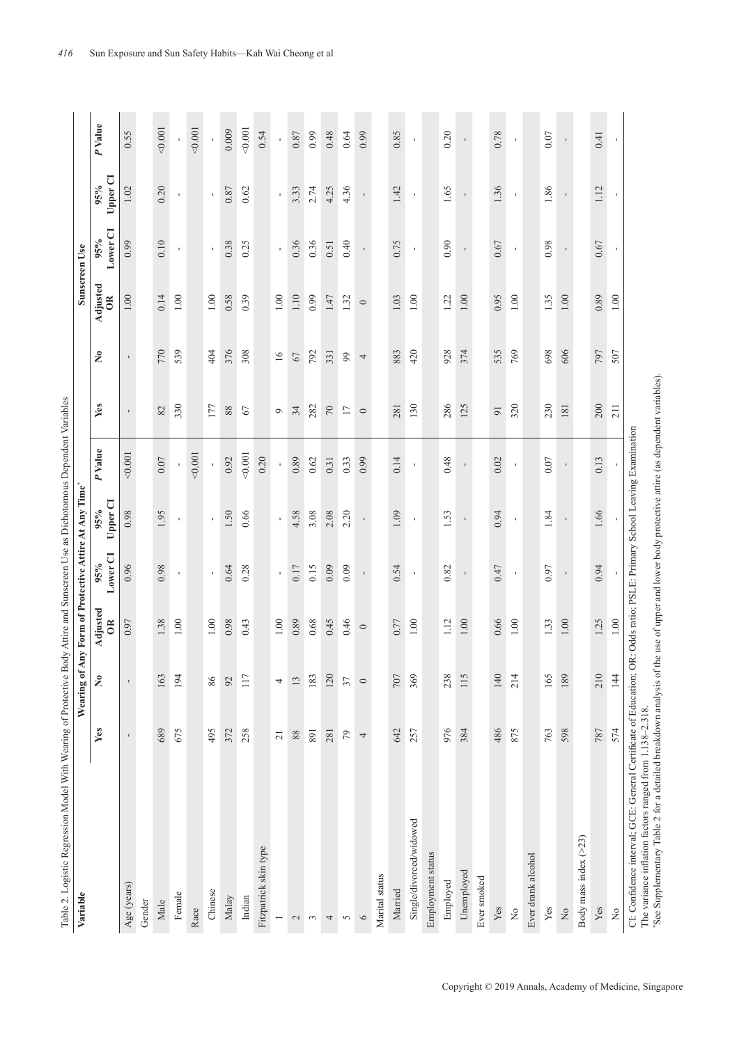| 1                            |
|------------------------------|
|                              |
|                              |
|                              |
|                              |
|                              |
|                              |
|                              |
|                              |
|                              |
|                              |
|                              |
| I<br>I                       |
|                              |
|                              |
|                              |
|                              |
|                              |
|                              |
|                              |
|                              |
|                              |
| l                            |
|                              |
|                              |
|                              |
| j                            |
|                              |
|                              |
|                              |
|                              |
|                              |
|                              |
|                              |
| ļ                            |
|                              |
|                              |
|                              |
|                              |
|                              |
|                              |
|                              |
|                              |
|                              |
|                              |
| l                            |
|                              |
|                              |
|                              |
|                              |
|                              |
|                              |
|                              |
| i                            |
|                              |
|                              |
|                              |
| i                            |
|                              |
|                              |
|                              |
|                              |
|                              |
|                              |
|                              |
|                              |
| j                            |
|                              |
|                              |
|                              |
|                              |
|                              |
|                              |
| Ï                            |
|                              |
| j                            |
|                              |
| ļ                            |
|                              |
|                              |
|                              |
|                              |
|                              |
| $\frac{1}{2}$<br>$\mathbf i$ |
|                              |
|                              |
| ı                            |
| d                            |
|                              |
| Table                        |

| Table 2. Logistic Regression Model With Wearing of Protective Body Attire and Sunscreen Use as Dichotomous Dependent Variables                                                                                                                                                                                                     |                 |                      |                           |                                                     |                    |              |                 |                      |                |                            |                 |               |
|------------------------------------------------------------------------------------------------------------------------------------------------------------------------------------------------------------------------------------------------------------------------------------------------------------------------------------|-----------------|----------------------|---------------------------|-----------------------------------------------------|--------------------|--------------|-----------------|----------------------|----------------|----------------------------|-----------------|---------------|
| Variable                                                                                                                                                                                                                                                                                                                           |                 |                      |                           | Wearing of Any Form of Protective Attire At Any Tim |                    |              |                 |                      | Sunscreen Use  |                            |                 |               |
|                                                                                                                                                                                                                                                                                                                                    | Yes             | $\tilde{\mathsf{z}}$ | Adjusted<br>$\frac{R}{2}$ | Lower <sub>CI</sub><br>$95\%$                       | Upper CI<br>$95\%$ | P Value      | Yes             | $\tilde{\mathbf{z}}$ | Adjusted<br>OR | Lower <sub>Cl</sub><br>95% | Upper CI<br>95% | <b>PValue</b> |
| Age (years)                                                                                                                                                                                                                                                                                                                        | $\blacksquare$  | $\blacksquare$       | 0.97                      | 0.96                                                | 0.98               | 0.001        | $\blacksquare$  | $\blacksquare$       | $1.00\,$       | 0.99                       | $\Omega$        | 0.55          |
| Gender                                                                                                                                                                                                                                                                                                                             |                 |                      |                           |                                                     |                    |              |                 |                      |                |                            |                 |               |
| Male                                                                                                                                                                                                                                                                                                                               | 689             | 163                  | 1.38                      | 0.98                                                | 1.95               | 0.07         | 82              | 770                  | 0.14           | 0.10                       | 0.20            | 0.001         |
| Female                                                                                                                                                                                                                                                                                                                             | 675             | 194                  | $1.00\,$                  | $\mathbf{I}$                                        | $\mathbf{I}$       |              | 330             | 539                  | 1.00           | $\mathbf{I}$               | $\mathbf I$     |               |
| Race                                                                                                                                                                                                                                                                                                                               |                 |                      |                           |                                                     |                    | 0.001        |                 |                      |                |                            |                 | 0.001         |
| Chinese                                                                                                                                                                                                                                                                                                                            | 495             | $86\,$               | $1.00\,$                  | $\blacksquare$                                      | $\blacksquare$     |              | 177             | 404                  | $1.00\,$       | $\mathbf{I}$               | $\mathbf{I}$    |               |
| Malay                                                                                                                                                                                                                                                                                                                              | 372             | 92                   | 0.98                      | 0.64                                                | 1.50               | 0.92         | 88              | 376                  | 0.58           | 0.38                       | 0.87            | 0.009         |
| Indian                                                                                                                                                                                                                                                                                                                             | 258             | 117                  | 0.43                      | 0.28                                                | 0.66               | 0.001        | 67              | 308                  | 0.39           | 0.25                       | 0.62            | 0.001         |
| Fitzpatrick skin type                                                                                                                                                                                                                                                                                                              |                 |                      |                           |                                                     |                    | 0.20         |                 |                      |                |                            |                 | 0.54          |
| $\overline{\phantom{0}}$                                                                                                                                                                                                                                                                                                           | $\overline{21}$ | 4                    | $1.00\,$                  | $\mathbf{r}$                                        | $\mathbf{r}$       | $\mathbf I$  | $\circ$         | 16                   | $1.00\,$       | $\mathbf{r}$               | $\mathbf{r}$    | $\mathbf{I}$  |
| $\mathcal{L}$                                                                                                                                                                                                                                                                                                                      | $88\,$          | $13$                 | 0.89                      | 0.17                                                | 4.58               | 0.89         | 34              | $67\,$               | $1.10\,$       | 0.36                       | 3.33            | $0.87\,$      |
| $\sim$                                                                                                                                                                                                                                                                                                                             | 891             | 183                  | 0.68                      | 0.15                                                | 3.08               | 0.62         | 282             | 792                  | 0.99           | 0.36                       | 2.74            | 0.99          |
| 4                                                                                                                                                                                                                                                                                                                                  | 281             | 120                  | 0.45                      | 0.09                                                | 2.08               | 0.31         | $70\,$          | 331                  | 1.47           | 0.51                       | 4.25            | 0.48          |
| $\sim$                                                                                                                                                                                                                                                                                                                             | $79\,$          | 37                   | 0.46                      | 0.09                                                | 2.20               | 0.33         | 17              | 99                   | 1.32           | 0.40                       | 4.36            | 0.64          |
| $\circ$                                                                                                                                                                                                                                                                                                                            | 4               | $\circ$              | $\circ$                   | $\mathbf{I}$                                        | $\mathbf{I}$       | 0.99         | $\circ$         | 4                    | $\circ$        |                            | $\blacksquare$  | 0.99          |
| Marital status                                                                                                                                                                                                                                                                                                                     |                 |                      |                           |                                                     |                    |              |                 |                      |                |                            |                 |               |
| Married                                                                                                                                                                                                                                                                                                                            | 642             | 707                  | 0.77                      | 0.54                                                | 1.09               | 0.14         | 281             | 883                  | 1.03           | 0.75                       | 1.42            | 0.85          |
| Single/divorced/widowed                                                                                                                                                                                                                                                                                                            | 257             | 369                  | $1.00\,$                  | $\mathbf{I}$                                        | $\mathbf{I}$       | $\mathbf I$  | 130             | 420                  | $1.00\,$       | $\mathbf I$                | $\blacksquare$  | $\mathbf{I}$  |
| Employment status                                                                                                                                                                                                                                                                                                                  |                 |                      |                           |                                                     |                    |              |                 |                      |                |                            |                 |               |
| Employed                                                                                                                                                                                                                                                                                                                           | 976             | 238                  | 1.12                      | 0.82                                                | 1.53               | 0.48         | 286             | 928                  | 1.22           | 0.90                       | 1.65            | 0.20          |
| Unemployed                                                                                                                                                                                                                                                                                                                         | 384             | 115                  | $1.00\,$                  | $\mathbf I$                                         | $\mathbf{I}$       | $\mathbf{I}$ | 125             | 374                  | $1.00\,$       | $\mathbf I$                | $\blacksquare$  | $\mathbf{r}$  |
| Ever smoked                                                                                                                                                                                                                                                                                                                        |                 |                      |                           |                                                     |                    |              |                 |                      |                |                            |                 |               |
| Yes                                                                                                                                                                                                                                                                                                                                | 486             | 140                  | 0.66                      | 0.47                                                | 0.94               | $0.02\,$     | $\overline{91}$ | 535                  | 0.95           | 0.67                       | 1.36            | 0.78          |
| $\stackrel{\circ}{\mathsf{Z}}$                                                                                                                                                                                                                                                                                                     | 875             | 214                  | $1.00\,$                  | $\mathbf{r}$                                        | $\mathbf{I}$       | $\mathbf{r}$ | 320             | 769                  | $1.00\,$       | $\blacksquare$             | $\mathbf{I}$    | $\mathbf I$   |
| Ever drank alcohol                                                                                                                                                                                                                                                                                                                 |                 |                      |                           |                                                     |                    |              |                 |                      |                |                            |                 |               |
| Yes                                                                                                                                                                                                                                                                                                                                | 763             | 165                  | 1.33                      | 0.97                                                | 1.84               | $0.07$       | 230             | 698                  | 1.35           | 0.98                       | 1.86            | 0.07          |
| $\rm _{XO}$                                                                                                                                                                                                                                                                                                                        | 598             | 189                  | $1.00\,$                  |                                                     |                    |              | 181             | 606                  | $1.00\,$       |                            |                 |               |
| Body mass index $(>23)$                                                                                                                                                                                                                                                                                                            |                 |                      |                           |                                                     |                    |              |                 |                      |                |                            |                 |               |
| Yes                                                                                                                                                                                                                                                                                                                                | 787             | 210                  | 1.25                      | 0.94                                                | 1.66               | 0.13         | 200             | 797                  | 0.89           | 0.67                       | 1.12            | 0.41          |
| $\stackrel{\circ}{\mathbf{Z}}$                                                                                                                                                                                                                                                                                                     | 574             | 144                  | $1.00\,$                  |                                                     |                    |              | 211             | 507                  | $1.00\,$       |                            |                 |               |
| 'See Supplementary Table 2 for a detailed breakdown analysis of the use of upper and lower body protective attire (as dependent variables).<br>CI: Confidence interval; GCE: General Certificate of Education; OR: Odds ratio; PSLE: Primary School Leaving Examination<br>The variance inflation factors ranged from 1.138-2.318. |                 |                      |                           |                                                     |                    |              |                 |                      |                |                            |                 |               |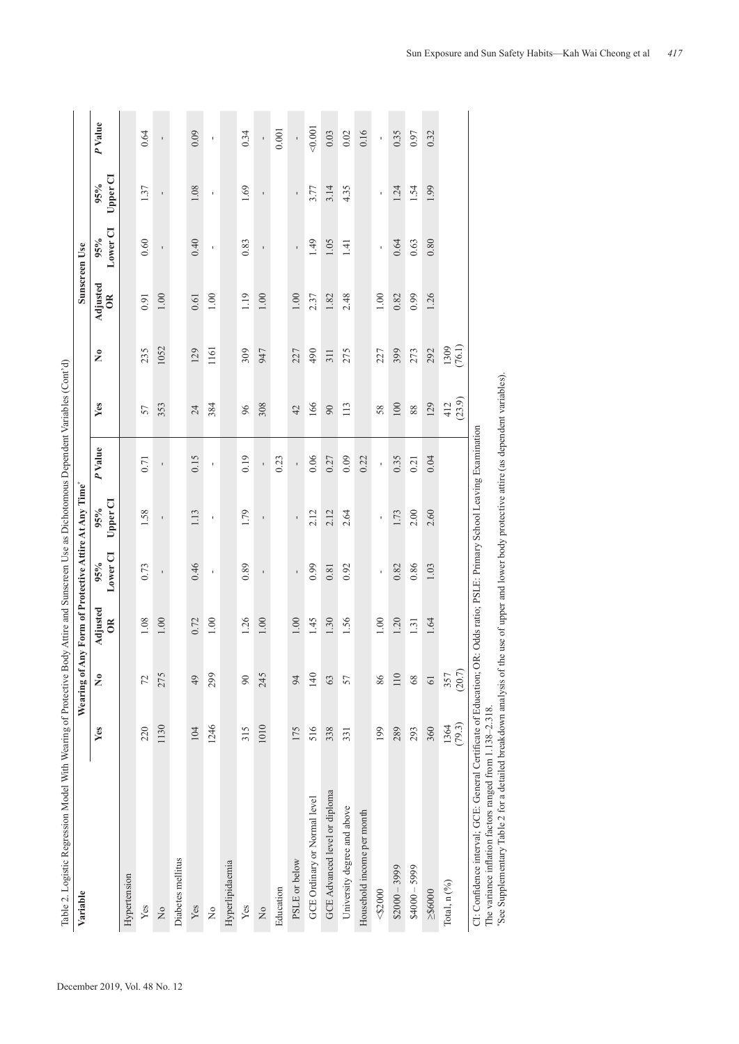| Table 2. Logistic Regression Model With Wearing of Protective Body Attire and Sunscreen Use as Dichotomous Dependent Variables (Cont'd) |                |                      |                                                          |                    |                 |                |               |                      |                                      |                            |                    |               |
|-----------------------------------------------------------------------------------------------------------------------------------------|----------------|----------------------|----------------------------------------------------------|--------------------|-----------------|----------------|---------------|----------------------|--------------------------------------|----------------------------|--------------------|---------------|
| Variable                                                                                                                                |                | Wearing of           | Any Form of Protective Attire At Any Time'               |                    |                 |                |               |                      | Sunscreen Use                        |                            |                    |               |
|                                                                                                                                         | Yes            | $\tilde{\mathsf{z}}$ | Adjusted<br>$\approx$                                    | Lower CI<br>$95\%$ | Upper CI<br>95% | P Value        | Yes           | $\tilde{\mathbf{z}}$ | Adjusted<br>$\widetilde{\mathbf{5}}$ | Lower <sub>CI</sub><br>95% | Upper CI<br>$95\%$ | <b>PValue</b> |
| Hypertension                                                                                                                            |                |                      |                                                          |                    |                 |                |               |                      |                                      |                            |                    |               |
| Yes                                                                                                                                     | 220            | 72                   | 1.08                                                     | 0.73               | 1.58            | 0.71           | 57            | 235                  | 0.91                                 | 0.60                       | 1.37               | 0.64          |
| $\overline{\mathsf{X}}$                                                                                                                 | 1130           | 275                  | 1.00                                                     | $\mathbf{I}$       | $\mathbf{I}$    | $\blacksquare$ | 353           | 1052                 | 1.00                                 | $\blacksquare$             | $\mathbf{I}$       | $\mathbf{I}$  |
| Diabetes mellitus                                                                                                                       |                |                      |                                                          |                    |                 |                |               |                      |                                      |                            |                    |               |
| Yes                                                                                                                                     | 104            | 49                   | 0.72                                                     | 0.46               | 1.13            | 0.15           | 24            | 129                  | 0.61                                 | 0.40                       | 1.08               | 0.09          |
| $\stackrel{\circ}{\simeq}$                                                                                                              | 1246           | 299                  | 1.00                                                     | $\blacksquare$     | ı               | ı              | 384           | 1161                 | 1.00                                 | ı                          | ı                  | ı             |
| Hyperlipidaemia                                                                                                                         |                |                      |                                                          |                    |                 |                |               |                      |                                      |                            |                    |               |
| Yes                                                                                                                                     | 315            | $\infty$             | 1.26                                                     | 0.89               | 1.79            | 0.19           | 96            | 309                  | 1.19                                 | 0.83                       | 1.69               | 0.34          |
| $\frac{1}{2}$                                                                                                                           | 1010           | 245                  | $1.00\,$                                                 | $\mathbf{I}$       | $\mathbf{I}$    | ï              | 308           | 947                  | 1.00                                 | ı                          | $\overline{1}$     | ï             |
| Education                                                                                                                               |                |                      |                                                          |                    |                 | 0.23           |               |                      |                                      |                            |                    | 0.001         |
| PSLE or below                                                                                                                           | 175            | $\overline{5}$       | 1.00                                                     | ı                  | $\blacksquare$  | ï              | 42            | 227                  | 1.00                                 | $\blacksquare$             | $\blacksquare$     | l.            |
| GCE Ordinary or Normal level                                                                                                            | 516            | 140                  | 1.45                                                     | 0.99               | 2.12            | 0.06           | 166           | 490                  | 2.37                                 | 1.49                       | 3.77               | 0.001         |
| GCE Advanced level or diploma                                                                                                           | 338            | 63                   | 1.30                                                     | 0.81               | 2.12            | 0.27           | 90            | 311                  | 1.82                                 | 1.05                       | 3.14               | 0.03          |
| University degree and above                                                                                                             | 331            | 57                   | 1.56                                                     | 0.92               | 2.64            | 0.09           | 113           | 275                  | 2.48                                 | 1.41                       | 4.35               | 0.02          |
| Household income per month                                                                                                              |                |                      |                                                          |                    |                 | 0.22           |               |                      |                                      |                            |                    | 0.16          |
| 82000                                                                                                                                   | 199            | 86                   | 1.00                                                     |                    |                 |                | 58            | 227                  | 1.00                                 |                            | $\mathbf{I}$       | ı             |
| $$2000 - 3999$                                                                                                                          | 289            | 110                  | 1.20                                                     | 0.82               | 1.73            | 0.35           | $100\,$       | 399                  | 0.82                                 | 0.64                       | 1.24               | 0.35          |
| $666 - 2000 + 8$                                                                                                                        | 293            | 68                   | 1.31                                                     | 0.86               | 2.00            | 0.21           | 88            | 273                  | 0.99                                 | 0.63                       | 1.54               | 0.97          |
| 2\$6000                                                                                                                                 | 360            | $\overline{6}$       | 1.64                                                     | 1.03               | 2.60            | 0.04           | 129           | 292                  | 1.26                                 | 0.80                       | 1.99               | 0.32          |
| Total, $n$ $(^{96})$                                                                                                                    | (79.3)<br>1364 | (20.7)<br>357        |                                                          |                    |                 |                | (23.9)<br>412 | (76.1)<br>1309       |                                      |                            |                    |               |
| CI: Confidence interval; GCE: General Certificate of Education;                                                                         |                |                      | OR: Odds ratio; PSLE: Primary School Leaving Examination |                    |                 |                |               |                      |                                      |                            |                    |               |

| ļ              |  |
|----------------|--|
|                |  |
|                |  |
|                |  |
|                |  |
|                |  |
|                |  |
|                |  |
|                |  |
|                |  |
|                |  |
| ļ<br>ì         |  |
|                |  |
| ï              |  |
| í              |  |
|                |  |
|                |  |
|                |  |
| ļ<br>١         |  |
| ś              |  |
|                |  |
|                |  |
|                |  |
| i              |  |
|                |  |
|                |  |
|                |  |
| l              |  |
|                |  |
|                |  |
|                |  |
|                |  |
|                |  |
|                |  |
|                |  |
|                |  |
| I              |  |
| $\overline{a}$ |  |
|                |  |
|                |  |
|                |  |
|                |  |
| l              |  |
|                |  |
|                |  |
|                |  |
|                |  |
|                |  |
|                |  |
| ;;<br>╛        |  |
|                |  |
| ĺ              |  |
|                |  |
|                |  |
|                |  |
|                |  |
|                |  |
|                |  |
|                |  |
|                |  |
| ļ              |  |
|                |  |
|                |  |
|                |  |
|                |  |
|                |  |
| l              |  |
|                |  |
| Table          |  |

The variance inflation factors ranged from 1.138–2.318.

The variance inflation factors ranged from  $1.138-2.318$ .<br>"See Supplementary Table 2 for a detailed breakdown analysis of the use of upper and lower body protective attire (as dependent variables). \*See Supplementary Table 2 for a detailed breakdown analysis of the use of upper and lower body protective attire (as dependent variables).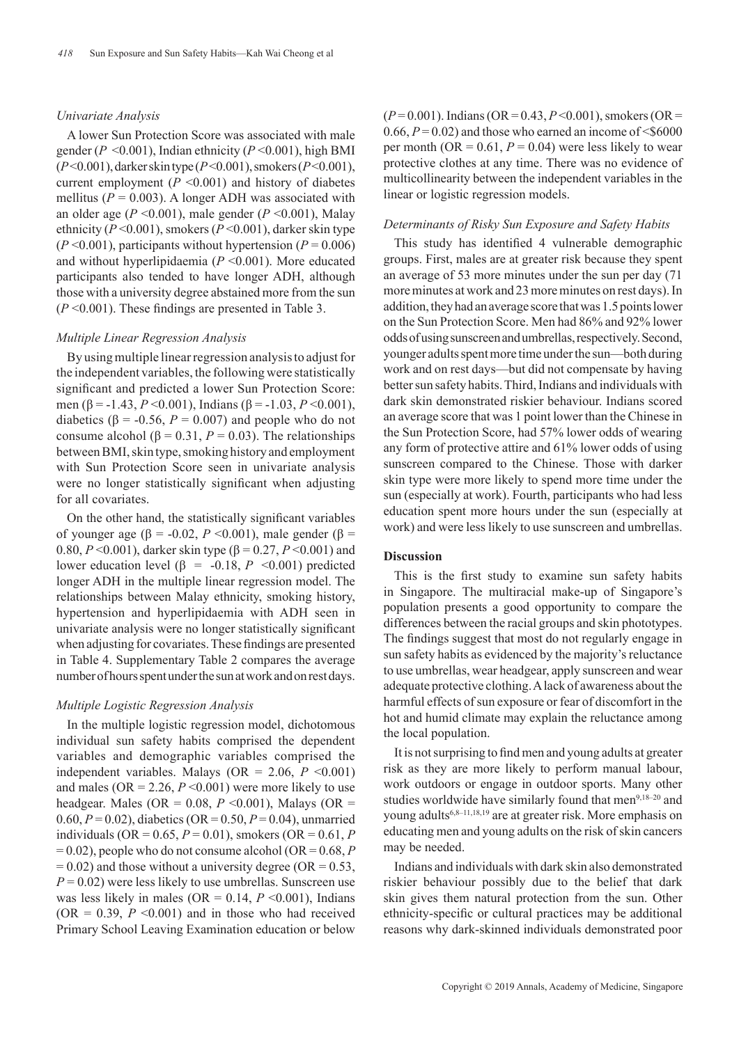### *Univariate Analysis*

A lower Sun Protection Score was associated with male gender ( $P \le 0.001$ ), Indian ethnicity ( $P \le 0.001$ ), high BMI (*P* <0.001), darker skin type (*P* <0.001), smokers (*P* <0.001), current employment  $(P \le 0.001)$  and history of diabetes mellitus ( $P = 0.003$ ). A longer ADH was associated with an older age (*P* <0.001), male gender (*P* <0.001), Malay ethnicity (*P* <0.001), smokers (*P* <0.001), darker skin type  $(P<0.001)$ , participants without hypertension  $(P=0.006)$ and without hyperlipidaemia (*P* <0.001). More educated participants also tended to have longer ADH, although those with a university degree abstained more from the sun (*P* <0.001). These findings are presented in Table 3.

#### *Multiple Linear Regression Analysis*

By using multiple linear regression analysis to adjust for the independent variables, the following were statistically significant and predicted a lower Sun Protection Score: men (β = -1.43, *P* <0.001), Indians (β = -1.03, *P* <0.001), diabetics ( $\beta$  = -0.56, *P* = 0.007) and people who do not consume alcohol ( $\beta$  = 0.31, *P* = 0.03). The relationships between BMI, skin type, smoking history and employment with Sun Protection Score seen in univariate analysis were no longer statistically significant when adjusting for all covariates.

On the other hand, the statistically significant variables of younger age ( $β = -0.02, P < 0.001$ ), male gender ( $β =$ 0.80,  $P \le 0.001$ ), darker skin type ( $\beta = 0.27$ ,  $P \le 0.001$ ) and lower education level (β = -0.18,  $P \le 0.001$ ) predicted longer ADH in the multiple linear regression model. The relationships between Malay ethnicity, smoking history, hypertension and hyperlipidaemia with ADH seen in univariate analysis were no longer statistically significant when adjusting for covariates. These findings are presented in Table 4. Supplementary Table 2 compares the average number of hours spent under the sun at work and on rest days.

#### *Multiple Logistic Regression Analysis*

In the multiple logistic regression model, dichotomous individual sun safety habits comprised the dependent variables and demographic variables comprised the independent variables. Malays (OR =  $2.06$ ,  $P \le 0.001$ ) and males ( $OR = 2.26$ ,  $P \le 0.001$ ) were more likely to use headgear. Males (OR =  $0.08$ ,  $P \le 0.001$ ), Malays (OR = 0.60, *P* = 0.02), diabetics (OR = 0.50, *P* = 0.04), unmarried individuals (OR =  $0.65$ ,  $P = 0.01$ ), smokers (OR =  $0.61$ , *P*  $= 0.02$ ), people who do not consume alcohol (OR  $= 0.68$ , *P*  $= 0.02$ ) and those without a university degree (OR  $= 0.53$ ,  $P = 0.02$ ) were less likely to use umbrellas. Sunscreen use was less likely in males (OR =  $0.14$ ,  $P \le 0.001$ ), Indians  $(OR = 0.39, P \le 0.001)$  and in those who had received Primary School Leaving Examination education or below

(*P* = 0.001). Indians (OR = 0.43, *P* <0.001), smokers (OR = 0.66,  $P = 0.02$ ) and those who earned an income of  $\leq$ \$6000 per month (OR =  $0.61$ ,  $P = 0.04$ ) were less likely to wear protective clothes at any time. There was no evidence of multicollinearity between the independent variables in the linear or logistic regression models.

#### *Determinants of Risky Sun Exposure and Safety Habits*

This study has identified 4 vulnerable demographic groups. First, males are at greater risk because they spent an average of 53 more minutes under the sun per day (71 more minutes at work and 23 more minutes on rest days). In addition, they had an average score that was 1.5 points lower on the Sun Protection Score. Men had 86% and 92% lower odds of using sunscreen and umbrellas, respectively. Second, younger adults spent more time under the sun—both during work and on rest days—but did not compensate by having better sun safety habits. Third, Indians and individuals with dark skin demonstrated riskier behaviour. Indians scored an average score that was 1 point lower than the Chinese in the Sun Protection Score, had 57% lower odds of wearing any form of protective attire and 61% lower odds of using sunscreen compared to the Chinese. Those with darker skin type were more likely to spend more time under the sun (especially at work). Fourth, participants who had less education spent more hours under the sun (especially at work) and were less likely to use sunscreen and umbrellas.

#### **Discussion**

This is the first study to examine sun safety habits in Singapore. The multiracial make-up of Singapore's population presents a good opportunity to compare the differences between the racial groups and skin phototypes. The findings suggest that most do not regularly engage in sun safety habits as evidenced by the majority's reluctance to use umbrellas, wear headgear, apply sunscreen and wear adequate protective clothing. A lack of awareness about the harmful effects of sun exposure or fear of discomfort in the hot and humid climate may explain the reluctance among the local population.

It is not surprising to find men and young adults at greater risk as they are more likely to perform manual labour, work outdoors or engage in outdoor sports. Many other studies worldwide have similarly found that men<sup>9,18–20</sup> and young adults<sup>6,8-11,18,19</sup> are at greater risk. More emphasis on educating men and young adults on the risk of skin cancers may be needed.

Indians and individuals with dark skin also demonstrated riskier behaviour possibly due to the belief that dark skin gives them natural protection from the sun. Other ethnicity-specific or cultural practices may be additional reasons why dark-skinned individuals demonstrated poor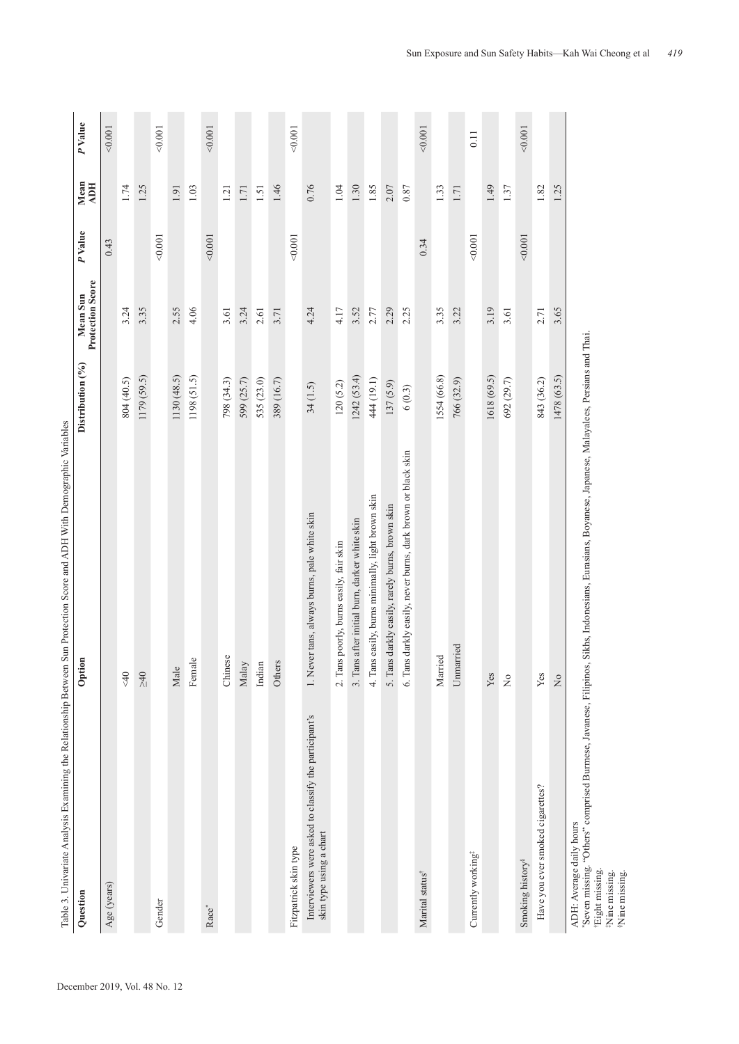| Table 3. Univariate Analysis Examining the Relationship Between                  | Sun Protection Score and ADH With Demographic Variables      |                     |                                     |         |                    |         |
|----------------------------------------------------------------------------------|--------------------------------------------------------------|---------------------|-------------------------------------|---------|--------------------|---------|
| Question                                                                         | Option                                                       | Distribution $(°0)$ | <b>Protection Score</b><br>Mean Sun | P Value | Mean<br><b>ADH</b> | P Value |
| Age (years)                                                                      |                                                              |                     |                                     | 0.43    |                    | 0.001   |
|                                                                                  | $rac{40}{5}$                                                 | 804 (40.5)          | 3.24                                |         | 1.74               |         |
|                                                                                  | $\approx 0$                                                  | 1179 (59.5)         | 3.35                                |         | 1.25               |         |
| Gender                                                                           |                                                              |                     |                                     | 0.001   |                    | 0.001   |
|                                                                                  | Male                                                         | 1130 (48.5)         | 2.55                                |         | 1.91               |         |
|                                                                                  | Female                                                       | 1198 (51.5)         | 4.06                                |         | 1.03               |         |
| Race <sup>*</sup>                                                                |                                                              |                     |                                     | < 0.001 |                    | 0.001   |
|                                                                                  | Chinese                                                      | 798 (34.3)          | 3.61                                |         | 1.21               |         |
|                                                                                  | Malay                                                        | 599 (25.7)          | 3.24                                |         | 1.71               |         |
|                                                                                  | Indian                                                       | 535 (23.0)          | 2.61                                |         | 1.51               |         |
|                                                                                  | Others                                                       | 389 (16.7)          | 3.71                                |         | 1.46               |         |
| Fitzpatrick skin type                                                            |                                                              |                     |                                     | 0.001   |                    | 0.001   |
| Interviewers were asked to classify the participant's<br>skin type using a chart | 1. Never tans, always burns, pale white skin                 | 34(1.5)             | 4.24                                |         | 0.76               |         |
|                                                                                  | 2. Tans poorly, burns easily, fair skin                      | 120(5.2)            | 4.17                                |         | 1.04               |         |
|                                                                                  | 3. Tans after initial burn, darker white skin                | 1242(53.4)          | 3.52                                |         | 1.30               |         |
|                                                                                  | 4. Tans easily, burns minimally, light brown skin            | 444 (19.1)          | 2.77                                |         | 1.85               |         |
|                                                                                  | 5. Tans darkly easily, rarely burns, brown skin              | 137(5.9)            | 2.29                                |         | 2.07               |         |
|                                                                                  | 6. Tans darkly easily, never burns, dark brown or black skin | 6(0.3)              | 2.25                                |         | 0.87               |         |
| Marital status <sup>†</sup>                                                      |                                                              |                     |                                     | 0.34    |                    | 0.001   |
|                                                                                  | Married                                                      | 1554 (66.8)         | 3.35                                |         | 1.33               |         |
|                                                                                  | Unmarried                                                    | 766 (32.9)          | 3.22                                |         | 1.71               |         |
| Currently working <sup>#</sup>                                                   |                                                              |                     |                                     | 0.001   |                    | 0.11    |
|                                                                                  | Yes                                                          | 1618 (69.5)         | 3.19                                |         | 1.49               |         |
|                                                                                  | $\stackrel{\circ}{\mathsf{Z}}$                               | 692 (29.7)          | 3.61                                |         | 1.37               |         |
| Smoking history <sup>§</sup>                                                     |                                                              |                     |                                     | 0.001   |                    | 0.001   |
| Have you ever smoked cigarettes?                                                 | Yes                                                          | 843 (36.2)          | 2.71                                |         | 1.82               |         |
|                                                                                  | $\Sigma$                                                     | 1478 (63.5)         | 3.65                                |         | 1.25               |         |
| $\Lambda$ DH $\Lambda$ increase dealar hear                                      |                                                              |                     |                                     |         |                    |         |

ADH: Average daily hours

ADH: Average daily hours<br>\*Seven missing. "Others" comprised Burmese, Javanese, Filipinos, Sikhs, Indonesians, Eurasians, Boyanese, Japanese, Malayalees, Persians and Thai.<br>\*Eight missing.<br>\*Nine missing. \*Seven missing. "Others" comprised Burmese, Javanese, Filipinos, Sikhs, Indonesians, Eurasians, Boyanese, Japanese, Malayalees, Persians and Thai. †Eight missing.

‡Nine missing.

§Nine missing.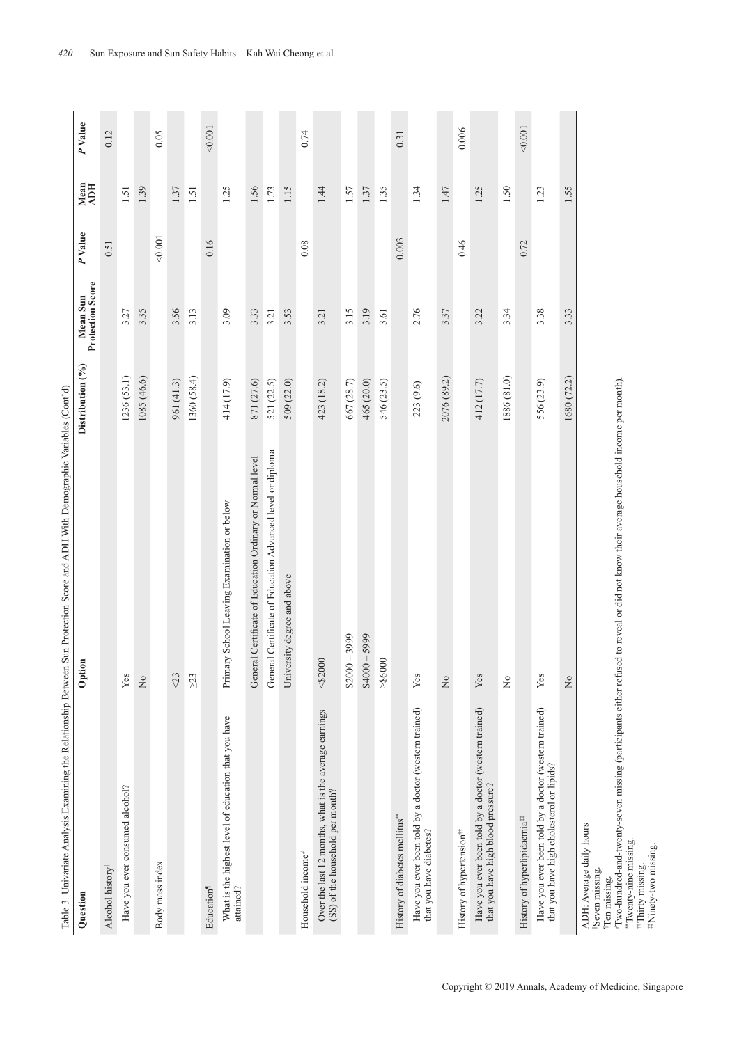| Table 3. Univariate Analysis Examining the Relationship Between                                                                  | Sun Protection Score and ADH With Demographic Variables (Cont'd)                                                                        |                      |                                     |         |             |         |
|----------------------------------------------------------------------------------------------------------------------------------|-----------------------------------------------------------------------------------------------------------------------------------------|----------------------|-------------------------------------|---------|-------------|---------|
| Question                                                                                                                         | Option                                                                                                                                  | Distribution $(9/6)$ | <b>Protection Score</b><br>Mean Sun | P Value | Mean<br>ADH | P Value |
| Alcohol history <sup>  </sup>                                                                                                    |                                                                                                                                         |                      |                                     | 0.51    |             | 0.12    |
| Have you ever consumed alcohol?                                                                                                  | Yes                                                                                                                                     | 1236 (53.1)          | 3.27                                |         | 1.51        |         |
|                                                                                                                                  | $\overline{\mathsf{X}}$                                                                                                                 | 1085 (46.6)          | 3.35                                |         | 1.39        |         |
| Body mass index                                                                                                                  |                                                                                                                                         |                      |                                     | 100(1)  |             | 0.05    |
|                                                                                                                                  | $23$                                                                                                                                    | 961 (41.3)           | 3.56                                |         | 1.37        |         |
|                                                                                                                                  | $\geq$ 23                                                                                                                               | 1360 (58.4)          | 3.13                                |         | 1.51        |         |
| Education <sup>1</sup>                                                                                                           |                                                                                                                                         |                      |                                     | 0.16    |             | 0.001   |
| What is the highest level of education that you have<br>attained?                                                                | Primary School Leaving Examination or below                                                                                             | 414 (17.9)           | 3.09                                |         | 1.25        |         |
|                                                                                                                                  | General Certificate of Education Ordinary or Normal level                                                                               | 871 (27.6)           | 3.33                                |         | 1.56        |         |
|                                                                                                                                  | General Certificate of Education Advanced level or diploma                                                                              | 521 (22.5)           | 3.21                                |         | 1.73        |         |
|                                                                                                                                  | University degree and above                                                                                                             | 509 (22.0)           | 3.53                                |         | 1.15        |         |
| Household income <sup>#</sup>                                                                                                    |                                                                                                                                         |                      |                                     | 0.08    |             | 0.74    |
| Over the last 12 months, what is the average earnings<br>(S\$) of the household per month?                                       | 82000                                                                                                                                   | 423 (18.2)           | 3.21                                |         | 1.44        |         |
|                                                                                                                                  | $-3999$<br>\$2000                                                                                                                       | 667 (28.7)           | 3.15                                |         | 1.57        |         |
|                                                                                                                                  | $-5999$<br>\$4000                                                                                                                       | 465 (20.0)           | 3.19                                |         | 1.37        |         |
|                                                                                                                                  | 2\$6000                                                                                                                                 | 546 (23.5)           | 3.61                                |         | 1.35        |         |
| History of diabetes mellitus"                                                                                                    |                                                                                                                                         |                      |                                     | 0.003   |             | 0.31    |
| Have you ever been told by a doctor (western trained)<br>that you have diabetes?                                                 | Yes                                                                                                                                     | 223 (9.6)            | 2.76                                |         | 1.34        |         |
|                                                                                                                                  | $\frac{1}{2}$                                                                                                                           | 2076 (89.2)          | 3.37                                |         | 1.47        |         |
| History of hypertension <sup>††</sup>                                                                                            |                                                                                                                                         |                      |                                     | 0.46    |             | 0.006   |
| Have you ever been told by a doctor (western trained)<br>that you have high blood pressure?                                      | Yes                                                                                                                                     | 412 (17.7)           | 3.22                                |         | 1.25        |         |
|                                                                                                                                  | $\tilde{z}$                                                                                                                             | 1886 (81.0)          | 3.34                                |         | 1.50        |         |
| History of hyperlipidaemia <sup>#</sup>                                                                                          |                                                                                                                                         |                      |                                     | 0.72    |             | 0.001   |
| Have you ever been told by a doctor (western trained)<br>that you have high cholesterol or lipids?                               | Yes                                                                                                                                     | 556 (23.9)           | 3.38                                |         | 1.23        |         |
|                                                                                                                                  | $\tilde{z}$                                                                                                                             | 1680 (72.2)          | 3.33                                |         | 1.55        |         |
| ADH: Average daily hours<br>**Twenty-nine missing.<br>#Ninety-two missing.<br>"Thirty missing.<br>Seven missing.<br>Ten missing. | "Two-hundred-and-twenty-seven missing (participants either refused to reveal or did not know their average household income per month). |                      |                                     |         |             |         |

Sun Exposure and Sun Safety Habits—Kah Wai Cheong et al

*420*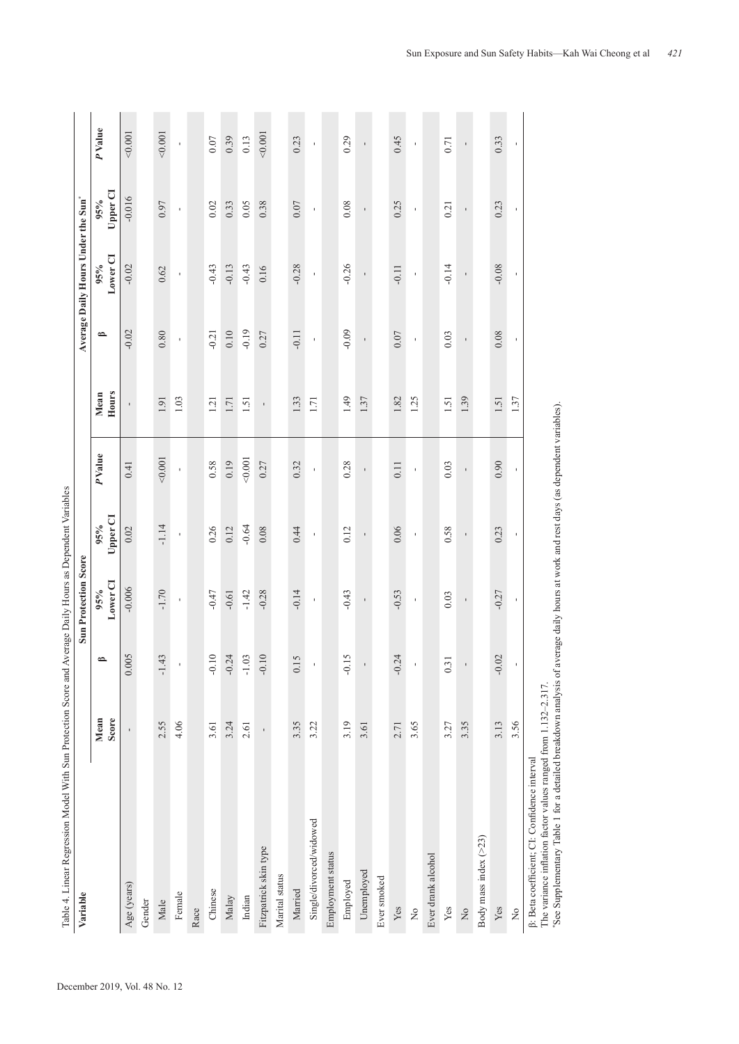| Table 4. Linear Regression Model With Sun Protection Score and                                                                                                                                                                                       |                      |                            |                      | Average Daily Hours as Dependent Variables |                |                      |                |                                    |                    |                |
|------------------------------------------------------------------------------------------------------------------------------------------------------------------------------------------------------------------------------------------------------|----------------------|----------------------------|----------------------|--------------------------------------------|----------------|----------------------|----------------|------------------------------------|--------------------|----------------|
| Variable                                                                                                                                                                                                                                             |                      |                            | Sun Protection Score |                                            |                |                      |                | Average Daily Hours Under the Sun' |                    |                |
|                                                                                                                                                                                                                                                      | Mean<br><b>Score</b> | $\approx$                  | Lower CI<br>95%      | Upper CI<br>95%                            | <b>PValue</b>  | <b>Hours</b><br>Mean | ه              | Lower <sub>CI</sub><br>95%         | Upper CI<br>$95\%$ | <b>PValue</b>  |
| Age (years)                                                                                                                                                                                                                                          | $\mathbf{I}$         | 0.005                      | $-0.006$             | 0.02                                       | 0.41           | ı                    | $-0.02$        | $-0.02$                            | $-0.016$           | 0.001          |
| Gender                                                                                                                                                                                                                                               |                      |                            |                      |                                            |                |                      |                |                                    |                    |                |
| Male                                                                                                                                                                                                                                                 | 2.55                 | 43<br>F                    | $-1.70$              | $-1.14$                                    | 0.001          | 1.91                 | 0.80           | 0.62                               | 0.97               | 0.001          |
| Female                                                                                                                                                                                                                                               | 4.06                 |                            | $\blacksquare$       | $\blacksquare$                             | $\blacksquare$ | 1.03                 | $\blacksquare$ | $\blacksquare$                     | $\blacksquare$     | $\blacksquare$ |
| Race                                                                                                                                                                                                                                                 |                      |                            |                      |                                            |                |                      |                |                                    |                    |                |
| Chinese                                                                                                                                                                                                                                              | 3.61                 | $-0.10$                    | $-0.47$              | 0.26                                       | 0.58           | 1.21                 | $-0.21$        | $-0.43$                            | 0.02               | $0.07\,$       |
| Malay                                                                                                                                                                                                                                                | 3.24                 | $-0.24$                    | $-0.61$              | 0.12                                       | 0.19           | 1.71                 | 0.10           | $-0.13$                            | 0.33               | 0.39           |
| Indian                                                                                                                                                                                                                                               | 2.61                 | $-1.03$                    | $-1.42$              | $-0.64$                                    | 0.001          | 1.51                 | $-0.19$        | $-0.43$                            | 0.05               | 0.13           |
| Fitzpatrick skin type                                                                                                                                                                                                                                | ı                    | $-0.10$                    | $-0.28$              | 0.08                                       | 0.27           | ı                    | 0.27           | 0.16                               | 0.38               | < 0.001        |
| Marital status                                                                                                                                                                                                                                       |                      |                            |                      |                                            |                |                      |                |                                    |                    |                |
| Married                                                                                                                                                                                                                                              | 3.35                 | 15<br>$\circ$              | $-0.14$              | 0.44                                       | 0.32           | 1.33                 | $-0.11$        | $-0.28$                            | 0.07               | 0.23           |
| Single/divorced/widowed                                                                                                                                                                                                                              | 3.22                 |                            | $\blacksquare$       | $\mathbf{I}$                               | $\mathbf{r}$   | 1.71                 | $\blacksquare$ | $\mathbf{I}$                       | $\mathbf I$        | $\blacksquare$ |
| Employment status                                                                                                                                                                                                                                    |                      |                            |                      |                                            |                |                      |                |                                    |                    |                |
| Employed                                                                                                                                                                                                                                             | 3.19                 | $-0.15$                    | $-0.43$              | 0.12                                       | 0.28           | 1.49                 | $-0.09$        | $-0.26$                            | 0.08               | 0.29           |
| Unemployed                                                                                                                                                                                                                                           | 3.61                 |                            | ı,                   | ı                                          | ı,             | 1.37                 | ı              | ı,                                 | ı                  | ı              |
| Ever smoked                                                                                                                                                                                                                                          |                      |                            |                      |                                            |                |                      |                |                                    |                    |                |
| Yes                                                                                                                                                                                                                                                  | 2.71                 | $-0.24$                    | $-0.53$              | 0.06                                       | 0.11           | 1.82                 | 0.07           | $-0.11$                            | 0.25               | 0.45           |
| $\stackrel{\circ}{\simeq}$                                                                                                                                                                                                                           | 3.65                 |                            | $\blacksquare$       | $\mathbf{I}$                               | $\mathbf{r}$   | 1.25                 | $\blacksquare$ | $\blacksquare$                     | $\mathbf I$        | $\blacksquare$ |
| Ever drank alcohol                                                                                                                                                                                                                                   |                      |                            |                      |                                            |                |                      |                |                                    |                    |                |
| Yes                                                                                                                                                                                                                                                  | 3.27                 | $\overline{31}$<br>$\circ$ | 0.03                 | 0.58                                       | 0.03           | 1.51                 | 0.03           | $-0.14$                            | 0.21               | 0.71           |
| $\rm \stackrel{\circ}{\mathbf{Z}}$                                                                                                                                                                                                                   | 3.35                 |                            | ı                    | ı                                          | $\blacksquare$ | 1.39                 | ı,             | ı,                                 | ı                  | ı              |
| Body mass index $($ >23)                                                                                                                                                                                                                             |                      |                            |                      |                                            |                |                      |                |                                    |                    |                |
| Yes                                                                                                                                                                                                                                                  | 3.13                 | $-0.02$                    | $-0.27$              | 0.23                                       | 0.90           | 1.51                 | 0.08           | $-0.08$                            | 0.23               | 0.33           |
| $\stackrel{\circ}{\simeq}$                                                                                                                                                                                                                           | 3.56                 |                            |                      | $\blacksquare$                             | $\mathbf{I}$   | 1.37                 |                |                                    |                    |                |
| 'See Supplementary Table 1 for a detailed breakdown analysis of average daily hours at work and rest days (as dependent variables).<br>The variance inflation factor values ranged from 1.132-2.317.<br>β: Beta coefficient; CI: Confidence interval |                      |                            |                      |                                            |                |                      |                |                                    |                    |                |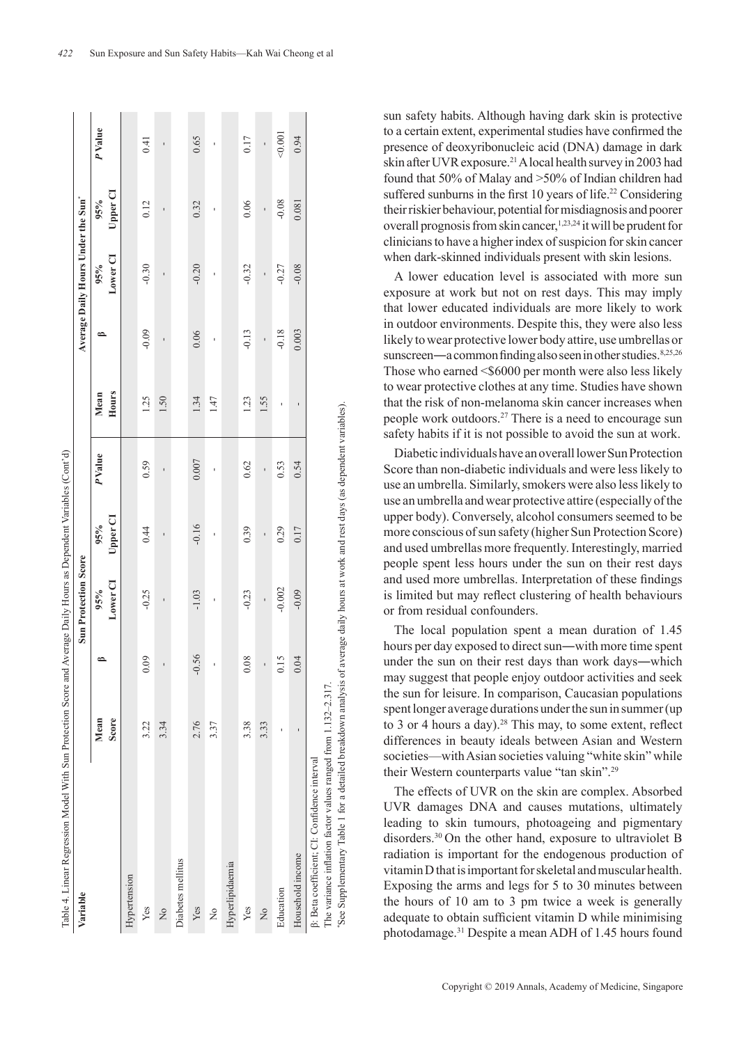| Variable                                                                                                      |              |         | <b>Sun Protection Score</b> |          |               |              |         | Average Daily Hours Under the Sun <sup>*</sup> |                |         |
|---------------------------------------------------------------------------------------------------------------|--------------|---------|-----------------------------|----------|---------------|--------------|---------|------------------------------------------------|----------------|---------|
|                                                                                                               | Mean         |         | 95%                         | 95%      | <b>PValue</b> | Mean         |         | 95%                                            | 95%            | P Value |
|                                                                                                               | <b>Score</b> |         | Lower CI                    | Upper CI |               | Hours        |         | Lower CI                                       | Upper Cl       |         |
| Hypertension                                                                                                  |              |         |                             |          |               |              |         |                                                |                |         |
| Yes                                                                                                           | 3.22         | 0.09    | $-0.25$                     | 0.44     | 0.59          | 1.25         | $-0.09$ | $-0.30$                                        | 0.12           | 0.41    |
| $\frac{1}{2}$                                                                                                 | 3.34         | 1       | ı                           | ı        | ı             | 1.50         | ı       | ı                                              | $\blacksquare$ | ı       |
| Diabetes mellitus                                                                                             |              |         |                             |          |               |              |         |                                                |                |         |
| Yes                                                                                                           | 2.76         | $-0.56$ | $-1.03$                     | $-0.16$  | 0.007         | 1.34         | 0.06    | $-0.20$                                        | 0.32           | 0.65    |
| $\frac{1}{2}$                                                                                                 | 3.37         | ï       | ı                           |          | ı             | 1.47         | ı       |                                                | ı              | ı       |
| Hyperlipidaemia                                                                                               |              |         |                             |          |               |              |         |                                                |                |         |
| Yes                                                                                                           | 3.38         | 0.08    | $-0.23$                     | 0.39     | 0.62          | 1.23         | $-0.13$ | $-0.32$                                        | 0.06           | 0.17    |
| $\frac{1}{2}$                                                                                                 | 3.33         | 1       | ı                           | 1        | 1             | 1.55         | ı       | 1                                              | 1              | 1       |
| Education                                                                                                     | 1            | 0.15    | $-0.002$                    | 0.29     | 0.53          | ı            | $-0.18$ | $-0.27$                                        | $-0.08$        | <0.001  |
| Household income                                                                                              | $\mathbf{I}$ | 0.04    | $-0.09$                     | 0.17     | 0.54          | $\mathbf{I}$ | 0.003   | $-0.08$                                        | 0.081          | 0.94    |
| The variance inflation factor values ranged from 1.132-2.317.<br>ß: Beta coefficient; CI: Confidence interval |              |         |                             |          |               |              |         |                                                |                |         |

See Supplementary Table 1 for a detailed breakdown analysis of average daily hours at work and rest days (as dependent variables). \*See Supplementary Table 1 for a detailed breakdown analysis of average daily hours at work and rest days (as dependent variables).

sun safety habits. Although having dark skin is protective to a certain extent, experimental studies have confirmed the presence of deoxyribonucleic acid (DNA) damage in dark skin after UVR exposure.<sup>21</sup> A local health survey in 2003 had found that 50% of Malay and >50% of Indian children had suffered sunburns in the first 10 years of life.<sup>22</sup> Considering their riskier behaviour, potential for misdiagnosis and poorer overall prognosis from skin cancer,  $1,23,24$  it will be prudent for clinicians to have a higher index of suspicion for skin cancer when dark-skinned individuals present with skin lesions.

A lower education level is associated with more sun exposure at work but not on rest days. This may imply that lower educated individuals are more likely to work in outdoor environments. Despite this, they were also less likely to wear protective lower body attire, use umbrellas or sunscreen—a common finding also seen in other studies.<sup>8,25,26</sup> Those who earned <\$6000 per month were also less likely to wear protective clothes at any time. Studies have shown that the risk of non-melanoma skin cancer increases when people work outdoors.27 There is a need to encourage sun safety habits if it is not possible to avoid the sun at work.

Diabetic individuals have an overall lower Sun Protection Score than non-diabetic individuals and were less likely to use an umbrella. Similarly, smokers were also less likely to use an umbrella and wear protective attire (especially of the upper body). Conversely, alcohol consumers seemed to be more conscious of sun safety (higher Sun Protection Score) and used umbrellas more frequently. Interestingly, married people spent less hours under the sun on their rest days and used more umbrellas. Interpretation of these findings is limited but may reflect clustering of health behaviours or from residual confounders.

The local population spent a mean duration of 1.45 hours per day exposed to direct sun—with more time spent under the sun on their rest days than work days―which may suggest that people enjoy outdoor activities and seek the sun for leisure. In comparison, Caucasian populations spent longer average durations under the sun in summer (up to 3 or 4 hours a day).<sup>28</sup> This may, to some extent, reflect differences in beauty ideals between Asian and Western societies—with Asian societies valuing "white skin" while their Western counterparts value "tan skin".29

The effects of UVR on the skin are complex. Absorbed UVR damages DNA and causes mutations, ultimately leading to skin tumours, photoageing and pigmentary disorders.30 On the other hand, exposure to ultraviolet B radiation is important for the endogenous production of vitamin D that is important for skeletal and muscular health. Exposing the arms and legs for 5 to 30 minutes between the hours of 10 am to 3 pm twice a week is generally adequate to obtain sufficient vitamin D while minimising photodamage.31 Despite a mean ADH of 1.45 hours found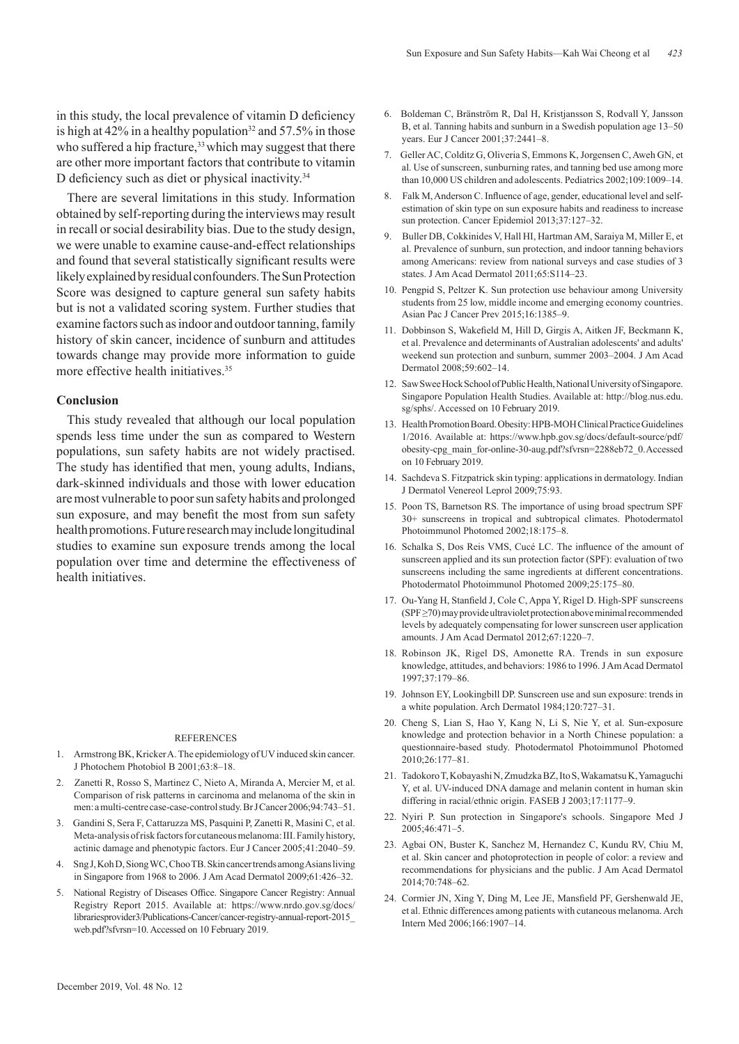in this study, the local prevalence of vitamin D deficiency is high at  $42\%$  in a healthy population<sup>32</sup> and  $57.5\%$  in those who suffered a hip fracture,<sup>33</sup> which may suggest that there are other more important factors that contribute to vitamin D deficiency such as diet or physical inactivity.<sup>34</sup>

There are several limitations in this study. Information obtained by self-reporting during the interviews may result in recall or social desirability bias. Due to the study design, we were unable to examine cause-and-effect relationships and found that several statistically significant results were likely explained by residual confounders. The Sun Protection Score was designed to capture general sun safety habits but is not a validated scoring system. Further studies that examine factors such as indoor and outdoor tanning, family history of skin cancer, incidence of sunburn and attitudes towards change may provide more information to guide more effective health initiatives.<sup>35</sup>

#### **Conclusion**

This study revealed that although our local population spends less time under the sun as compared to Western populations, sun safety habits are not widely practised. The study has identified that men, young adults, Indians, dark-skinned individuals and those with lower education are most vulnerable to poor sun safety habits and prolonged sun exposure, and may benefit the most from sun safety health promotions. Future research may include longitudinal studies to examine sun exposure trends among the local population over time and determine the effectiveness of health initiatives.

#### REFERENCES

- 1. Armstrong BK, Kricker A. The epidemiology of UV induced skin cancer. J Photochem Photobiol B 2001;63:8-18.
- 2. Zanetti R, Rosso S, Martinez C, Nieto A, Miranda A, Mercier M, et al. Comparison of risk patterns in carcinoma and melanoma of the skin in men: a multi-centre case-case-control study. Br J Cancer 2006;94:743-51.
- 3. Gandini S, Sera F, Cattaruzza MS, Pasquini P, Zanetti R, Masini C, et al. Meta-analysis of risk factors for cutaneous melanoma: III. Family history, actinic damage and phenotypic factors. Eur J Cancer 2005;41:2040-59.
- 4. Sng J, Koh D, Siong WC, Choo TB. Skin cancer trends among Asians living in Singapore from 1968 to 2006. J Am Acad Dermatol 2009;61:426-32.
- 5. National Registry of Diseases Office. Singapore Cancer Registry: Annual Registry Report 2015. Available at: https://www.nrdo.gov.sg/docs/ librariesprovider3/Publications-Cancer/cancer-registry-annual-report-2015\_ web.pdf?sfvrsn=10. Accessed on 10 February 2019.
- 6. Boldeman C, Bränström R, Dal H, Kristjansson S, Rodvall Y, Jansson B, et al. Tanning habits and sunburn in a Swedish population age 13–50 years. Eur J Cancer 2001;37:2441-8.
- 7. Geller AC, Colditz G, Oliveria S, Emmons K, Jorgensen C, Aweh GN, et al. Use of sunscreen, sunburning rates, and tanning bed use among more than 10,000 US children and adolescents. Pediatrics 2002;109:1009-14.
- 8. Falk M, Anderson C. Influence of age, gender, educational level and selfestimation of skin type on sun exposure habits and readiness to increase sun protection. Cancer Epidemiol 2013;37:127-32.
- 9. Buller DB, Cokkinides V, Hall HI, Hartman AM, Saraiya M, Miller E, et al. Prevalence of sunburn, sun protection, and indoor tanning behaviors among Americans: review from national surveys and case studies of 3 states. J Am Acad Dermatol 2011;65:S114-23.
- 10. Pengpid S, Peltzer K. Sun protection use behaviour among University students from 25 low, middle income and emerging economy countries. Asian Pac J Cancer Prev 2015;16:1385-9.
- 11. Dobbinson S, Wakefield M, Hill D, Girgis A, Aitken JF, Beckmann K, et al. Prevalence and determinants of Australian adolescents' and adults' weekend sun protection and sunburn, summer 2003–2004. J Am Acad Dermatol 2008;59:602-14.
- 12. Saw Swee Hock School of Public Health, National University of Singapore. Singapore Population Health Studies. Available at: http://blog.nus.edu. sg/sphs/. Accessed on 10 February 2019.
- 13. Health Promotion Board. Obesity: HPB-MOH Clinical Practice Guidelines 1/2016. Available at: https://www.hpb.gov.sg/docs/default-source/pdf/ obesity-cpg\_main\_for-online-30-aug.pdf?sfvrsn=2288eb72\_0. Accessed on 10 February 2019.
- 14. Sachdeva S. Fitzpatrick skin typing: applications in dermatology. Indian J Dermatol Venereol Leprol 2009;75:93.
- 15. Poon TS, Barnetson RS. The importance of using broad spectrum SPF 30+ sunscreens in tropical and subtropical climates. Photodermatol Photoimmunol Photomed 2002;18:175-8.
- 16. Schalka S, Dos Reis VMS, Cucé LC. The influence of the amount of sunscreen applied and its sun protection factor (SPF): evaluation of two sunscreens including the same ingredients at different concentrations. Photodermatol Photoimmunol Photomed 2009;25:175-80.
- 17. Ou-Yang H, Stanfield J, Cole C, Appa Y, Rigel D. High-SPF sunscreens (SPF ≥70) may provide ultraviolet protection above minimal recommended levels by adequately compensating for lower sunscreen user application amounts. J Am Acad Dermatol 2012:67:1220-7.
- 18. Robinson JK, Rigel DS, Amonette RA. Trends in sun exposure knowledge, attitudes, and behaviors: 1986 to 1996. J Am Acad Dermatol 1997;37:179‒86.
- 19. Johnson EY, Lookingbill DP. Sunscreen use and sun exposure: trends in a white population. Arch Dermatol 1984;120:727-31.
- 20. Cheng S, Lian S, Hao Y, Kang N, Li S, Nie Y, et al. Sun-exposure knowledge and protection behavior in a North Chinese population: a questionnaire-based study. Photodermatol Photoimmunol Photomed 2010;26:177‒81.
- 21. Tadokoro T, Kobayashi N, Zmudzka BZ, Ito S, Wakamatsu K, Yamaguchi Y, et al. UV-induced DNA damage and melanin content in human skin differing in racial/ethnic origin. FASEB J 2003;17:1177-9.
- 22. Nyiri P. Sun protection in Singapore's schools. Singapore Med J 2005;46:471‒5.
- 23. Agbai ON, Buster K, Sanchez M, Hernandez C, Kundu RV, Chiu M, et al. Skin cancer and photoprotection in people of color: a review and recommendations for physicians and the public. J Am Acad Dermatol 2014;70:748‒62.
- 24. Cormier JN, Xing Y, Ding M, Lee JE, Mansfield PF, Gershenwald JE, et al. Ethnic differences among patients with cutaneous melanoma. Arch Intern Med 2006;166:1907‒14.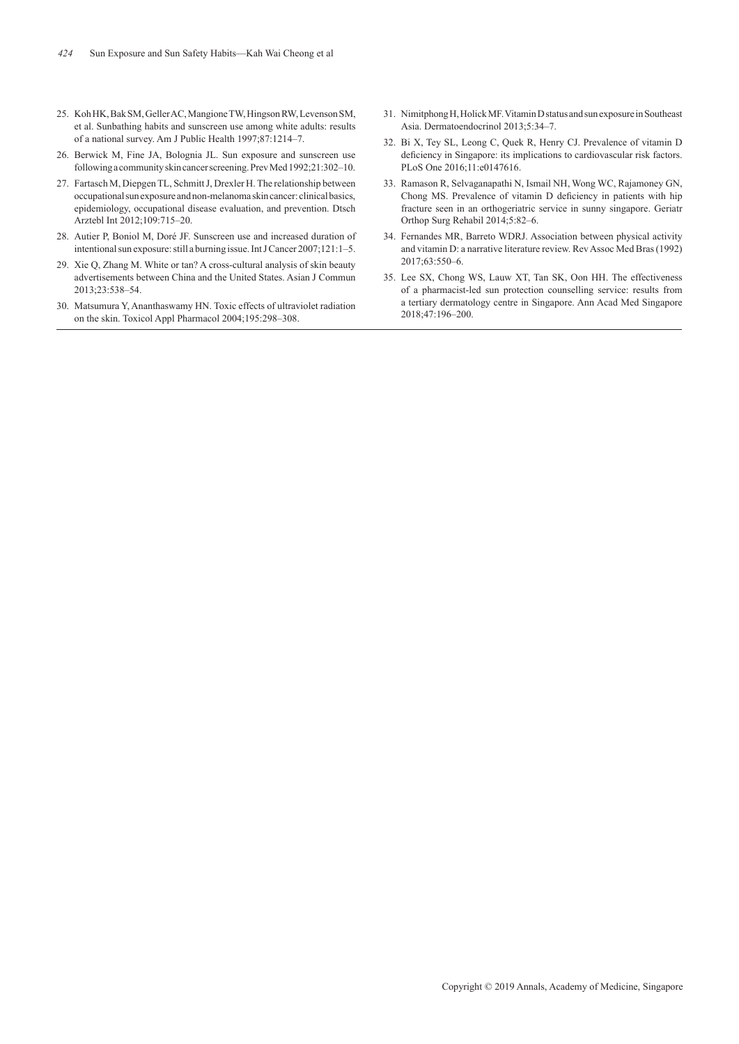- 25. Koh HK, Bak SM, Geller AC, Mangione TW, Hingson RW, Levenson SM, et al. Sunbathing habits and sunscreen use among white adults: results of a national survey. Am J Public Health 1997;87:1214‒7.
- 26. Berwick M, Fine JA, Bolognia JL. Sun exposure and sunscreen use following a community skin cancer screening. Prev Med 1992;21:302-10.
- 27. Fartasch M, Diepgen TL, Schmitt J, Drexler H. The relationship between occupational sun exposure and non-melanoma skin cancer: clinical basics, epidemiology, occupational disease evaluation, and prevention. Dtsch Arztebl Int 2012;109:715-20.
- 28. Autier P, Boniol M, Doré JF. Sunscreen use and increased duration of intentional sun exposure: still a burning issue. Int J Cancer 2007;121:1-5.
- 29. Xie Q, Zhang M. White or tan? A cross-cultural analysis of skin beauty advertisements between China and the United States. Asian J Commun 2013;23:538‒54.
- 30. Matsumura Y, Ananthaswamy HN. Toxic effects of ultraviolet radiation on the skin. Toxicol Appl Pharmacol 2004;195:298-308.
- 31. Nimitphong H, Holick MF. Vitamin D status and sun exposure in Southeast Asia. Dermatoendocrinol 2013;5:34‒7.
- 32. Bi X, Tey SL, Leong C, Quek R, Henry CJ. Prevalence of vitamin D deficiency in Singapore: its implications to cardiovascular risk factors. PLoS One 2016;11:e0147616.
- 33. Ramason R, Selvaganapathi N, Ismail NH, Wong WC, Rajamoney GN, Chong MS. Prevalence of vitamin D deficiency in patients with hip fracture seen in an orthogeriatric service in sunny singapore. Geriatr Orthop Surg Rehabil 2014;5:82-6.
- 34. Fernandes MR, Barreto WDRJ. Association between physical activity and vitamin D: a narrative literature review. Rev Assoc Med Bras (1992) 2017;63:550‒6.
- 35. Lee SX, Chong WS, Lauw XT, Tan SK, Oon HH. The effectiveness of a pharmacist-led sun protection counselling service: results from a tertiary dermatology centre in Singapore. Ann Acad Med Singapore 2018;47:196‒200.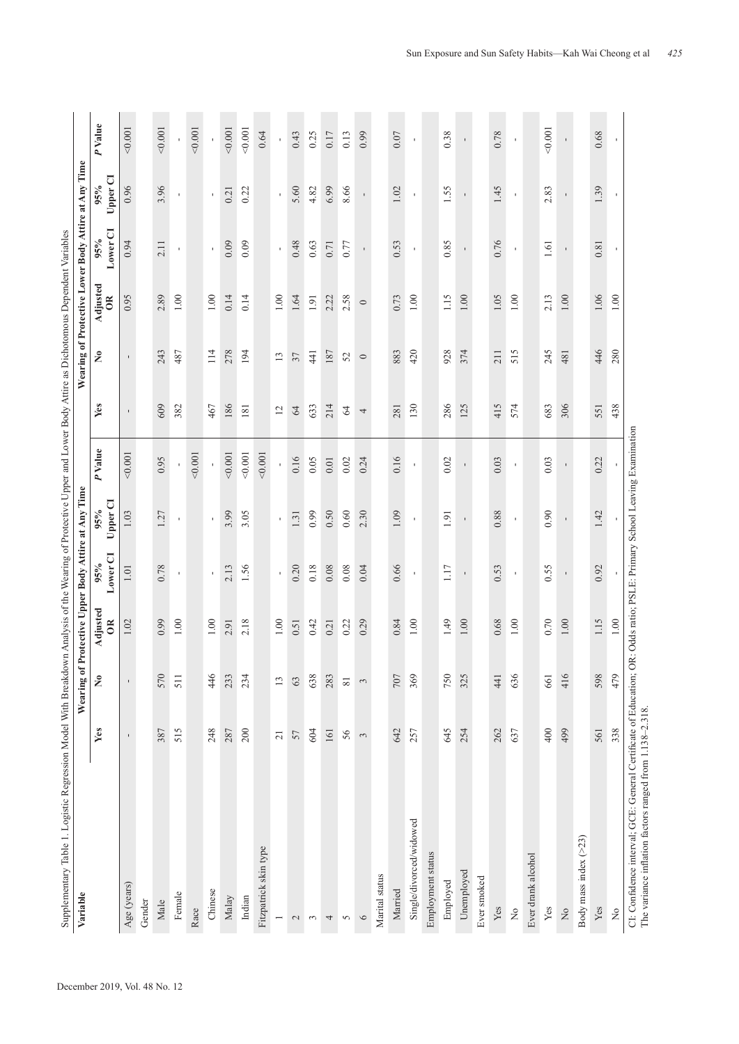| Supplementary Table 1. Logistic Regression Model With Breakdown Analysis of the Wearing of Protective Upper and Lower Body Attire as Dichotomous Dependent Variables |                 |                      |                                                          |                               |                                        |                |             |                           |                                                    |                            |                 |                |
|----------------------------------------------------------------------------------------------------------------------------------------------------------------------|-----------------|----------------------|----------------------------------------------------------|-------------------------------|----------------------------------------|----------------|-------------|---------------------------|----------------------------------------------------|----------------------------|-----------------|----------------|
| Variable                                                                                                                                                             |                 |                      | Wearing of Protective Upper                              | Attire<br><b>Body</b>         | $\Delta$ ny<br>$\overline{\mathbf{a}}$ |                |             |                           | earing of Protective Lower Body Attire at Any Time |                            |                 |                |
|                                                                                                                                                                      | Yes             | $\tilde{\mathsf{z}}$ | Adjusted<br>$\alpha$                                     | Lower <sub>CI</sub><br>$95\%$ | Upper Cl<br>$95\%$                     | P Value        | Yes         | $\mathsf{S}^{\mathsf{o}}$ | Adjusted<br>$\frac{1}{2}$                          | Lower <sub>CI</sub><br>95% | Upper CI<br>95% | P Value        |
| Age (years)                                                                                                                                                          | $\mathbf{I}$    | $\mathbf I$          | 1.02                                                     | 1.01                          | 1.03                                   | < 0.001        | $\mathbf I$ | $\blacksquare$            | 0.95                                               | $\overline{5}$<br>Ö        | 0.96            | 0.001          |
| Gender                                                                                                                                                               |                 |                      |                                                          |                               |                                        |                |             |                           |                                                    |                            |                 |                |
| Male                                                                                                                                                                 | 387             | 570                  | 0.99                                                     | 0.78                          | 27                                     | 0.95           | 609         | 243                       | 2.89                                               | 2.11                       | 3.96            | 0.001          |
| Female                                                                                                                                                               | 515             | 511                  | $1.00\,$                                                 | $\mathbf{I}$                  | $\mathbf{I}$                           | $\mathbf{I}$   | 382         | 487                       | $1.00\,$                                           | $\mathbf{I}$               | $\mathbf{I}$    |                |
| Race                                                                                                                                                                 |                 |                      |                                                          |                               |                                        | 0.001          |             |                           |                                                    |                            |                 | 0.001          |
| Chinese                                                                                                                                                              | 248             | 446                  | 1.00                                                     | $\mathbf{I}$                  | $\mathbf{L}$                           | $\mathbf{L}$   | 467         | 114                       | 1.00                                               | $\mathbf{r}$               | $\mathbf{r}$    | $\mathbf{r}$   |
| Malay                                                                                                                                                                | 287             | 233                  | 2.91                                                     | 2.13                          | 3.99                                   | 0.001          | 186         | 278                       | 0.14                                               | 0.09                       | 0.21            | 0.001          |
| Indian                                                                                                                                                               | 200             | 234                  | 2.18                                                     | 1.56                          | 3.05                                   | 0.001          | 181         | 194                       | 0.14                                               | 0.09                       | 0.22            | 0.001          |
| Fitzpatrick skin type                                                                                                                                                |                 |                      |                                                          |                               |                                        | 0.001          |             |                           |                                                    |                            |                 | 0.64           |
| $\overline{ }$                                                                                                                                                       | $\overline{21}$ | 13                   | $1.00\,$                                                 | $\mathbf{I}$                  | $\mathbf{I}$                           | $\mathbf{L}$   | 12          | 13                        | $1.00\,$                                           | $\mathbf{I}$               | $\mathbf{I}$    |                |
| $\mathbb{C}^1$                                                                                                                                                       | 57              | 63                   | 0.51                                                     | 0.20                          | 1.31                                   | 0.16           | 64          | 37                        | 1.64                                               | 0.48                       | 5.60            | 0.43           |
| $\sim$                                                                                                                                                               | 604             | 638                  | 0.42                                                     | 0.18                          | 0.99                                   | 0.05           | 633         | 41                        | 1.91                                               | 0.63                       | 4.82            | 0.25           |
| 4                                                                                                                                                                    | 161             | 283                  | 0.21                                                     | $0.08\,$                      | 0.50                                   | $0.01\,$       | 214         | 187                       | 2.22                                               | 0.71                       | 6.99            | 0.17           |
| $\sim$                                                                                                                                                               | 56              | $\overline{8}1$      | 0.22                                                     | 0.08                          | 0.60                                   | 0.02           | $64$        | 52                        | 2.58                                               | 0.77                       | 8.66            | 0.13           |
| $\circ$                                                                                                                                                              | $\epsilon$      | $\sim$               | 0.29                                                     | 0.04                          | 2.30                                   | 0.24           | 4           | $\circ$                   | $\circ$                                            | $\mathbf{I}$               | $\mathbf{I}$    | 0.99           |
| Marital status                                                                                                                                                       |                 |                      |                                                          |                               |                                        |                |             |                           |                                                    |                            |                 |                |
| Married                                                                                                                                                              | 642             | 707                  | 0.84                                                     | 0.66                          | 1.09                                   | 0.16           | 281         | 883                       | 0.73                                               | 0.53                       | 1.02            | 0.07           |
| Single/divorced/widowed                                                                                                                                              | 257             | 369                  | $1.00\,$                                                 | $\blacksquare$                | $\mathbf{I}$                           | $\blacksquare$ | 130         | 420                       | 1.00                                               | $\mathbf{I}$               | $\mathbf{I}$    | $\blacksquare$ |
| Employment status                                                                                                                                                    |                 |                      |                                                          |                               |                                        |                |             |                           |                                                    |                            |                 |                |
| Employed                                                                                                                                                             | 645             | 750                  | 1.49                                                     | 1.17                          | $\overline{1.91}$                      | 0.02           | 286         | 928                       | 1.15                                               | 0.85                       | 1.55            | 0.38           |
| Unemployed                                                                                                                                                           | 254             | 325                  | $1.00\,$                                                 | $\mathbf{I}$                  | $\mathbf I$                            | $\mathbf I$    | 125         | 374                       | $1.00\,$                                           | $\blacksquare$             | $\mathbf I$     | $\mathbf I$    |
| Ever smoked                                                                                                                                                          |                 |                      |                                                          |                               |                                        |                |             |                           |                                                    |                            |                 |                |
| Yes                                                                                                                                                                  | 262             | 441                  | 0.68                                                     | 0.53                          | 0.88                                   | 0.03           | 415         | 211                       | 1.05                                               | 0.76                       | 1.45            | 0.78           |
| $\rm \stackrel{\circ}{\rm \bf Z}$                                                                                                                                    | 637             | 636                  | $1.00\,$                                                 | $\mathbf{I}$                  | $\mathbf{I}$                           | $\blacksquare$ | 574         | 515                       | 1.00                                               | $\mathbf{I}$               | $\mathbf{I}$    | $\mathbf{I}$   |
| Ever drank alcohol                                                                                                                                                   |                 |                      |                                                          |                               |                                        |                |             |                           |                                                    |                            |                 |                |
| Yes                                                                                                                                                                  | 400             | 661                  | 0.70                                                     | 0.55                          | 0.90                                   | 0.03           | 683         | 245                       | 2.13                                               | $1.61\,$                   | 2.83            | 0.001          |
| $\rm \stackrel{\circ}{\rm \stackrel{\circ}{\rm \scriptscriptstyle M}}$                                                                                               | 499             | 416                  | $1.00\,$                                                 | $\blacksquare$                | $\blacksquare$                         | $\mathbf{I}$   | 306         | 481                       | $1.00\,$                                           | $\blacksquare$             | $\mathbf{I}$    | $\blacksquare$ |
| Body mass index $($ >23)                                                                                                                                             |                 |                      |                                                          |                               |                                        |                |             |                           |                                                    |                            |                 |                |
| Yes                                                                                                                                                                  | 561             | 598                  | 1.15                                                     | 0.92                          | 1.42                                   | 0.22           | 551         | 446                       | 1.06                                               | 0.81                       | 1.39            | 0.68           |
| $\stackrel{\circ}{\mathbf{Z}}$                                                                                                                                       | 338             | 479                  | $1.00\,$                                                 |                               |                                        |                | 438         | 280                       | 1.00                                               | $\blacksquare$             | $\mathbf{I}$    | $\mathbf I$    |
| CI: Confidence interval; GCE: General Certificate of Education;<br>The variance inflation factors ranged from 1.138-2.318.                                           |                 |                      | OR: Odds ratio; PSLE: Primary School Leaving Examination |                               |                                        |                |             |                           |                                                    |                            |                 |                |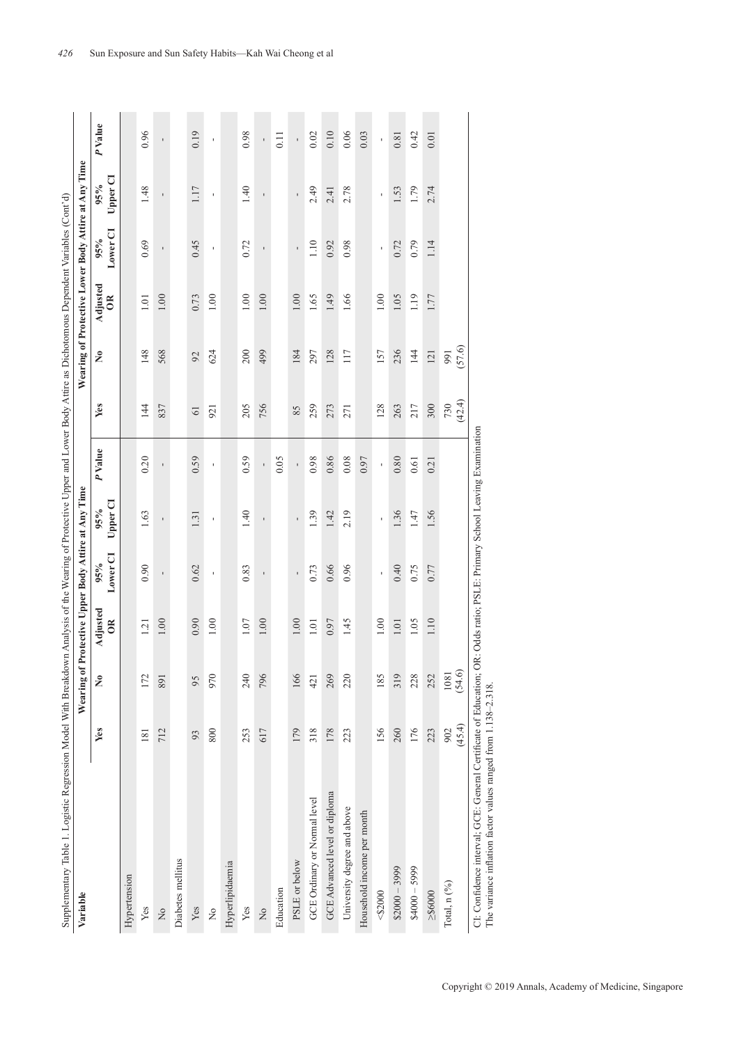| ļ<br>ı                                         |  |
|------------------------------------------------|--|
|                                                |  |
|                                                |  |
| l                                              |  |
|                                                |  |
|                                                |  |
| J<br>I                                         |  |
| ı                                              |  |
|                                                |  |
| ï                                              |  |
|                                                |  |
| l                                              |  |
|                                                |  |
|                                                |  |
|                                                |  |
|                                                |  |
|                                                |  |
|                                                |  |
| j                                              |  |
| r<br>$\mathbf{r}$<br>ׇ֠<br>$\overline{a}$<br>Į |  |
| j                                              |  |
|                                                |  |
|                                                |  |
| l                                              |  |
| j<br>į<br>l                                    |  |
| l<br>I                                         |  |
| Ì                                              |  |
| I<br>j                                         |  |
| i                                              |  |
| ï                                              |  |

| Supplementary Table 1. Logistic Regression Model With Breakdown Analysis of the Wearing of Protective Upper and Lower Body Attire as Dichotomous Dependent Variables (Cont'd) |               |                      |                       |                                                       |                    |             |                |                      |                                                     |                    |                 |                  |
|-------------------------------------------------------------------------------------------------------------------------------------------------------------------------------|---------------|----------------------|-----------------------|-------------------------------------------------------|--------------------|-------------|----------------|----------------------|-----------------------------------------------------|--------------------|-----------------|------------------|
| Variable                                                                                                                                                                      |               |                      |                       | Wearing of Protective Upper Body Attire at Any Time   |                    |             |                |                      | Wearing of Protective Lower Body Attire at Any Time |                    |                 |                  |
|                                                                                                                                                                               | Yes           | $\tilde{\mathsf{z}}$ | Adjusted<br>$\approx$ | Lower <sub>CI</sub><br>$95\%$                         | Upper CI<br>$95\%$ | P Value     | Yes            | $\tilde{\mathbf{z}}$ | Adjusted<br>$\approx$                               | Lower CI<br>$95\%$ | Upper CI<br>95% | P Value          |
| Hypertension                                                                                                                                                                  |               |                      |                       |                                                       |                    |             |                |                      |                                                     |                    |                 |                  |
| Yes                                                                                                                                                                           | 181           | 172                  | 1.21                  | 0.90                                                  | 1.63               | 0.20        | $\frac{44}{3}$ | 148                  | 1.01                                                | 0.69               | 1.48            | 0.96             |
| $\rm \stackrel{\circ}{\rm \stackrel{\circ}{\rm \scriptscriptstyle M}}$                                                                                                        | 712           | 891                  | 1.00                  |                                                       |                    |             | 837            | 568                  | 1.00                                                |                    |                 | $\mathbf{I}$     |
| Diabetes mellitus                                                                                                                                                             |               |                      |                       |                                                       |                    |             |                |                      |                                                     |                    |                 |                  |
| Yes                                                                                                                                                                           | 93            | 95                   | 0.90                  | 0.62                                                  | 1.31               | 0.59        | 61             | 92                   | 0.73                                                | 0.45               | 1.17            | 0.19             |
| $\stackrel{\circ}{\simeq}$                                                                                                                                                    | 800           | 970                  | 1.00                  | $\blacksquare$                                        | $\blacksquare$     | $\mathbf I$ | 921            | 624                  | 1.00                                                | ı                  | $\mathbf{I}$    | ı                |
| Hyperlipidaemia                                                                                                                                                               |               |                      |                       |                                                       |                    |             |                |                      |                                                     |                    |                 |                  |
| Yes                                                                                                                                                                           | 253           | 240                  | 1.07                  | 0.83                                                  | 1.40               | 0.59        | 205            | 200                  | 1.00                                                | 0.72               | 1.40            | 0.98             |
| $\rm \stackrel{\circ}{\rm \stackrel{>}{\rm \sim}}$                                                                                                                            | 617           | 796                  | 1.00                  | $\mathbf{I}$                                          | $\mathbf{I}$       | ı           | 756            | 499                  | 1.00                                                | ı                  | $\mathbf{I}$    | ı                |
| Education                                                                                                                                                                     |               |                      |                       |                                                       |                    | 0.05        |                |                      |                                                     |                    |                 | $\overline{0}$ . |
| PSLE or below                                                                                                                                                                 | 179           | 166                  | 1.00                  | $\mathbf{I}$                                          | $\mathbf{I}$       | ï           | 85             | 184                  | 1.00                                                | $\mathbf{I}$       | ı               | ï                |
| GCE Ordinary or Normal level                                                                                                                                                  | 318           | 421                  | 1.01                  | 0.73                                                  | 1.39               | 0.98        | 259            | 297                  | 1.65                                                | 1.10               | 2.49            | 0.02             |
| GCE Advanced level or diploma                                                                                                                                                 | 178           | 269                  | 0.97                  | 0.66                                                  | 1.42               | 0.86        | 273            | 128                  | 1.49                                                | 0.92               | 2.41            | 0.10             |
| University degree and above                                                                                                                                                   | 223           | 220                  | 1.45                  | 0.96                                                  | 2.19               | 0.08        | 271            | 117                  | 1.66                                                | 0.98               | 2.78            | 0.06             |
| Household income per month                                                                                                                                                    |               |                      |                       |                                                       |                    | 0.97        |                |                      |                                                     |                    |                 | 0.03             |
| 82000                                                                                                                                                                         | 156           | 185                  | 1.00                  | ı                                                     | ı                  | ï           | 128            | 157                  | 1.00                                                |                    | ı               | ï                |
| $$2000 - 3999$                                                                                                                                                                | 260           | 319                  | 1.01                  | 0.40                                                  | 1.36               | 0.80        | 263            | 236                  | 1.05                                                | 0.72               | 1.53            | 0.81             |
| $6665 - 0000*$                                                                                                                                                                | 176           | 228                  | 1.05                  | 0.75                                                  | 1.47               | 0.61        | 217            | 144                  | 1.19                                                | 0.79               | 1.79            | 0.42             |
| 286000                                                                                                                                                                        | 223           | 252                  | 1.10                  | 0.77                                                  | 1.56               | 0.21        | 300            | 121                  | 1.77                                                | 114                | 2.74            | 0.01             |
| Total, $n$ $(%)$                                                                                                                                                              | (45.4)<br>902 | (54.6)<br>1081       |                       |                                                       |                    |             | (42.4)<br>730  | (57.6)<br>991        |                                                     |                    |                 |                  |
| $CI$ Confidence interval: $GCE$ ; General Certificate of Education: $OR$                                                                                                      |               |                      |                       | Odds ratio: PSI E: Primary School Leaving Examination |                    |             |                |                      |                                                     |                    |                 |                  |

CI: Confidence interval; GCE: General Certificate of Education; OR: Odds ratio; PSLE: Primary School Leaving Examination Leaving Ex CI: Conneence interval; GCE: General Certineae of Education;<br>The variance inflation factor values ranged from 1.138–2.318. The variance inflation factor values ranged from 1.138‒2.318.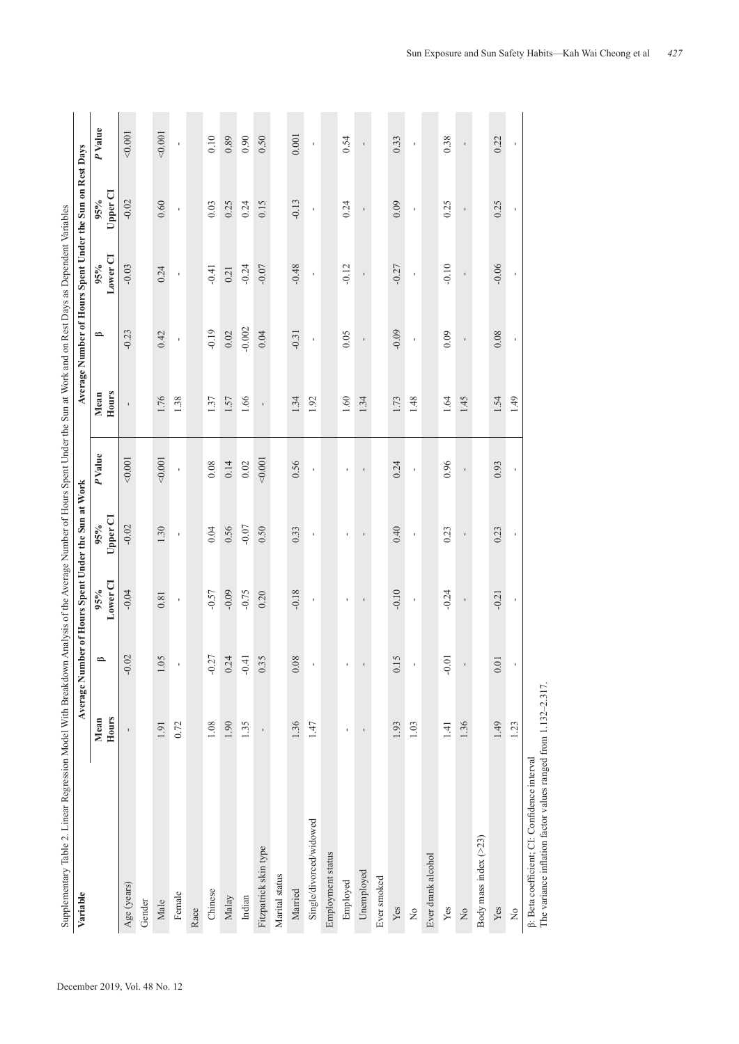| Supplementary Table 2. Linear Regression Model With Breakdown Analysis of the Average Number of Hours Spent Under the Sun at Work and on Rest Days as Dependent Variables |                |                |                 |                                            |                |               |                |                                                          |                 |                |
|---------------------------------------------------------------------------------------------------------------------------------------------------------------------------|----------------|----------------|-----------------|--------------------------------------------|----------------|---------------|----------------|----------------------------------------------------------|-----------------|----------------|
| Variable                                                                                                                                                                  | Average N      |                |                 | umber of Hours Spent Under the Sun at Work |                |               |                | Average Number of Hours Spent Under the Sun on Rest Days |                 |                |
|                                                                                                                                                                           | Hours<br>Mean  | ≏              | Lower CI<br>95% | Upper CI<br>95%                            | <b>PValue</b>  | Hours<br>Mean | $\approx$      | Lower CI<br>95%                                          | Upper CI<br>95% | <b>P</b> Value |
| Age (years)                                                                                                                                                               | $\blacksquare$ | $-0.02$        | $-0.04$         | $-0.02$                                    | 0.001          | ı,            | $-0.23$        | $-0.03$                                                  | $-0.02$         | 0.001          |
| Gender                                                                                                                                                                    |                |                |                 |                                            |                |               |                |                                                          |                 |                |
| Male                                                                                                                                                                      | 1.91           | 0.5            | 0.81            | 1.30                                       | 0.001          | 1.76          | 0.42           | 0.24                                                     | 0.60            | 0.001          |
| Female                                                                                                                                                                    | 0.72           | $\blacksquare$ | $\blacksquare$  | $\blacksquare$                             | $\blacksquare$ | 1.38          | $\blacksquare$ | $\blacksquare$                                           | $\blacksquare$  | $\blacksquare$ |
| Race                                                                                                                                                                      |                |                |                 |                                            |                |               |                |                                                          |                 |                |
| Chinese                                                                                                                                                                   | 1.08           | $-0.27$        | $-0.57$         | 0.04                                       | 0.08           | 1.37          | $-0.19$        | $-0.41$                                                  | 0.03            | 0.10           |
| Malay                                                                                                                                                                     | 1.90           | 0.24           | $-0.09$         | 0.56                                       | 0.14           | 1.57          | $0.02\,$       | 0.21                                                     | 0.25            | 0.89           |
| Indian                                                                                                                                                                    | 1.35           | $-0.41$        | $-0.75$         | $-0.07$                                    | $0.02\,$       | 1.66          | $-0.002$       | $-0.24$                                                  | 0.24            | 0.90           |
| Fitzpatrick skin type                                                                                                                                                     | $\mathbf{I}$   | 0.35           | 0.20            | 0.50                                       | 0.001          |               | 0.04           | $-0.07$                                                  | 0.15            | 0.50           |
| Marital status                                                                                                                                                            |                |                |                 |                                            |                |               |                |                                                          |                 |                |
| Married                                                                                                                                                                   | 1.36           | 0.08           | $-0.18$         | 0.33                                       | 0.56           | 1.34          | $-0.31$        | $-0.48$                                                  | $-0.13$         | 0.001          |
| Single/divorced/widowed                                                                                                                                                   | 1.47           |                | $\blacksquare$  | $\blacksquare$                             | $\blacksquare$ | 1.92          | $\blacksquare$ | $\blacksquare$                                           | $\mathbf{I}$    | $\blacksquare$ |
| Employment status                                                                                                                                                         |                |                |                 |                                            |                |               |                |                                                          |                 |                |
| Employed                                                                                                                                                                  | $\blacksquare$ |                | $\blacksquare$  | $\blacksquare$                             | $\blacksquare$ | 1.60          | 0.05           | $-0.12$                                                  | 0.24            | 0.54           |
| Unemployed                                                                                                                                                                | $\mathbf{I}$   | $\blacksquare$ | $\blacksquare$  | $\mathbf I$                                | $\blacksquare$ | 1.34          | $\blacksquare$ | $\blacksquare$                                           | $\mathbf I$     | $\blacksquare$ |
| Ever smoked                                                                                                                                                               |                |                |                 |                                            |                |               |                |                                                          |                 |                |
| Yes                                                                                                                                                                       | 1.93           | 0.15           | $-0.10$         | 0.40                                       | 0.24           | 1.73          | $-0.09$        | $-0.27$                                                  | 0.09            | 0.33           |
| $\stackrel{\circ}{\simeq}$                                                                                                                                                | 1.03           |                | ı.              | ı.                                         | $\blacksquare$ | 1.48          |                | ı.                                                       | ٠               | ı.             |
| Ever drank alcohol                                                                                                                                                        |                |                |                 |                                            |                |               |                |                                                          |                 |                |
| Yes                                                                                                                                                                       | 1.41           | $-0.01$        | $-0.24$         | 0.23                                       | 0.96           | 1.64          | 0.09           | $-0.10$                                                  | 0.25            | 0.38           |
| $\stackrel{\circ}{\mathbf{Z}}$                                                                                                                                            | 1.36           |                |                 |                                            | ı              | 1.45          |                |                                                          |                 |                |
| Body mass index $($ >23)                                                                                                                                                  |                |                |                 |                                            |                |               |                |                                                          |                 |                |
| Yes                                                                                                                                                                       | 1.49           | 0.01           | $-0.21$         | 0.23                                       | 0.93           | 1.54          | 0.08           | $-0.06$                                                  | 0.25            | 0.22           |
| $\mathop{\mathsf{S}}\nolimits$                                                                                                                                            | 1.23           | $\blacksquare$ |                 |                                            | $\blacksquare$ | 1.49          |                |                                                          |                 | $\blacksquare$ |
| The variance inflation factor values ranged from 1.132-2.317.<br>β: Beta coefficient; CI: Confidence interval                                                             |                |                |                 |                                            |                |               |                |                                                          |                 |                |